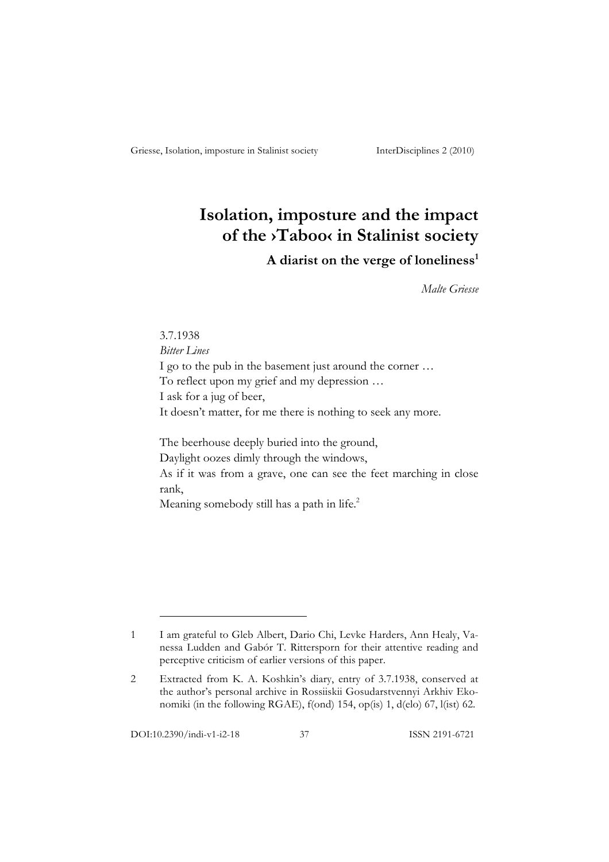# **Isolation, imposture and the impact of the ›Taboo‹ in Stalinist society**

## A diarist on the verge of loneliness<sup>1</sup>

*Malte Griesse*

3.7.1938 *Bitter Lines* I go to the pub in the basement just around the corner … To reflect upon my grief and my depression … I ask for a jug of beer, It doesn't matter, for me there is nothing to seek any more.

The beerhouse deeply buried into the ground, Daylight oozes dimly through the windows, As if it was from a grave, one can see the feet marching in close rank,

Meaning somebody still has a path in life.<sup>2</sup>

<sup>1</sup> I am grateful to Gleb Albert, Dario Chi, Levke Harders, Ann Healy, Vanessa Ludden and Gabór T. Rittersporn for their attentive reading and perceptive criticism of earlier versions of this paper.

<sup>2</sup> Extracted from K. A. Koshkin's diary, entry of 3.7.1938, conserved at the author's personal archive in Rossiiskii Gosudarstvennyi Arkhiv Ekonomiki (in the following RGAE), f(ond) 154, op(is) 1, d(elo) 67, l(ist) 62.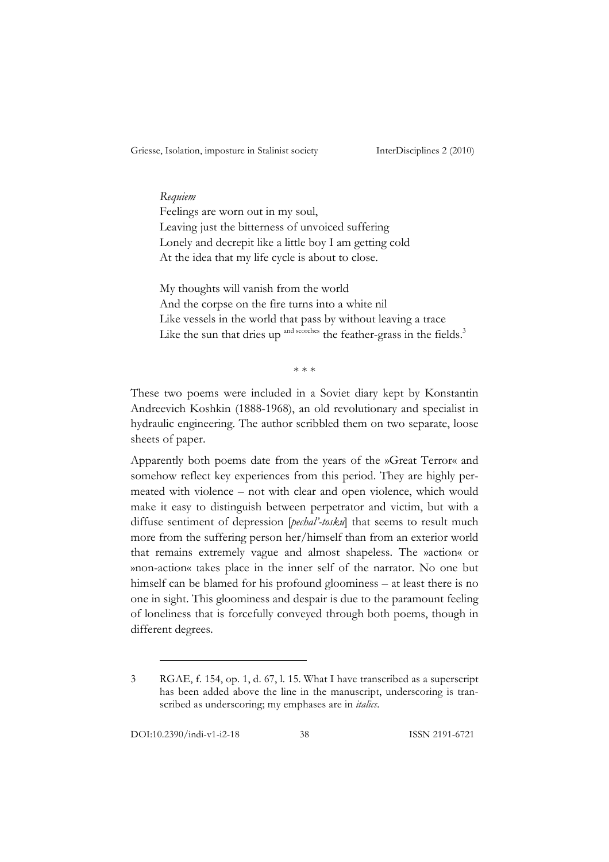## *Requiem*

Feelings are worn out in my soul, Leaving just the bitterness of unvoiced suffering Lonely and decrepit like a little boy I am getting cold At the idea that my life cycle is about to close.

My thoughts will vanish from the world And the corpse on the fire turns into a white nil Like vessels in the world that pass by without leaving a trace Like the sun that dries up  $\alpha$ <sup>and scorches</sup> the feather-grass in the fields.<sup>3</sup>

 $* * *$ 

These two poems were included in a Soviet diary kept by Konstantin Andreevich Koshkin (1888-1968), an old revolutionary and specialist in hydraulic engineering. The author scribbled them on two separate, loose sheets of paper.

Apparently both poems date from the years of the »Great Terror« and somehow reflect key experiences from this period. They are highly permeated with violence – not with clear and open violence, which would make it easy to distinguish between perpetrator and victim, but with a diffuse sentiment of depression [*pechal'-tosku*] that seems to result much more from the suffering person her/himself than from an exterior world that remains extremely vague and almost shapeless. The »action« or »non-action« takes place in the inner self of the narrator. No one but himself can be blamed for his profound gloominess – at least there is no one in sight. This gloominess and despair is due to the paramount feeling of loneliness that is forcefully conveyed through both poems, though in different degrees.

<sup>3</sup> RGAE, f. 154, op. 1, d. 67, l. 15. What I have transcribed as a superscript has been added above the line in the manuscript, underscoring is transcribed as underscoring; my emphases are in *italics*.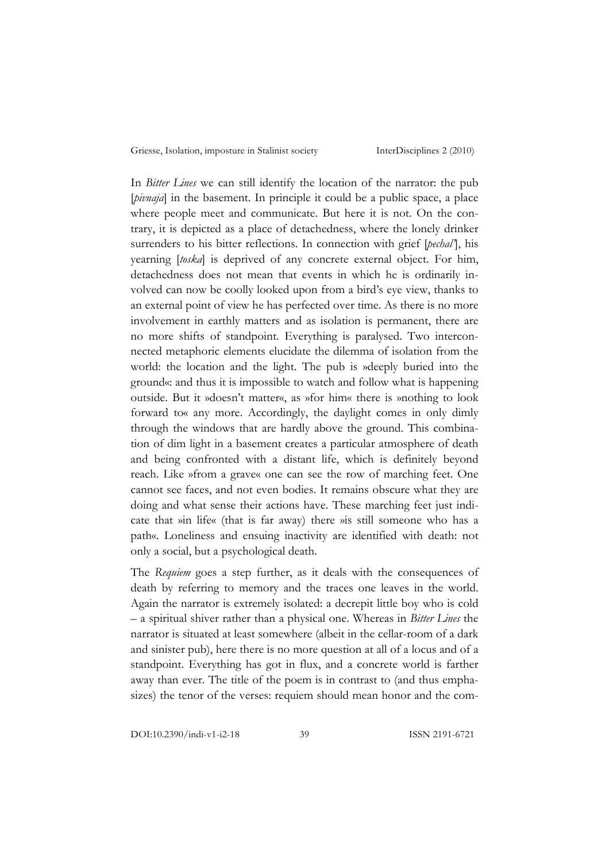In *Bitter Lines* we can still identify the location of the narrator: the pub [*pivnaja*] in the basement. In principle it could be a public space, a place where people meet and communicate. But here it is not. On the contrary, it is depicted as a place of detachedness, where the lonely drinker surrenders to his bitter reflections. In connection with grief [*pechal'*], his yearning [*toska*] is deprived of any concrete external object. For him, detachedness does not mean that events in which he is ordinarily involved can now be coolly looked upon from a bird's eye view, thanks to an external point of view he has perfected over time. As there is no more involvement in earthly matters and as isolation is permanent, there are no more shifts of standpoint. Everything is paralysed. Two interconnected metaphoric elements elucidate the dilemma of isolation from the world: the location and the light. The pub is »deeply buried into the ground«: and thus it is impossible to watch and follow what is happening outside. But it »doesn't matter«, as »for him« there is »nothing to look forward to« any more. Accordingly, the daylight comes in only dimly through the windows that are hardly above the ground. This combination of dim light in a basement creates a particular atmosphere of death and being confronted with a distant life, which is definitely beyond reach. Like »from a grave« one can see the row of marching feet. One cannot see faces, and not even bodies. It remains obscure what they are doing and what sense their actions have. These marching feet just indicate that »in life« (that is far away) there »is still someone who has a path«. Loneliness and ensuing inactivity are identified with death: not only a social, but a psychological death.

The *Requiem* goes a step further, as it deals with the consequences of death by referring to memory and the traces one leaves in the world. Again the narrator is extremely isolated: a decrepit little boy who is cold – a spiritual shiver rather than a physical one. Whereas in *Bitter Lines* the narrator is situated at least somewhere (albeit in the cellar-room of a dark and sinister pub), here there is no more question at all of a locus and of a standpoint. Everything has got in flux, and a concrete world is farther away than ever. The title of the poem is in contrast to (and thus emphasizes) the tenor of the verses: requiem should mean honor and the com-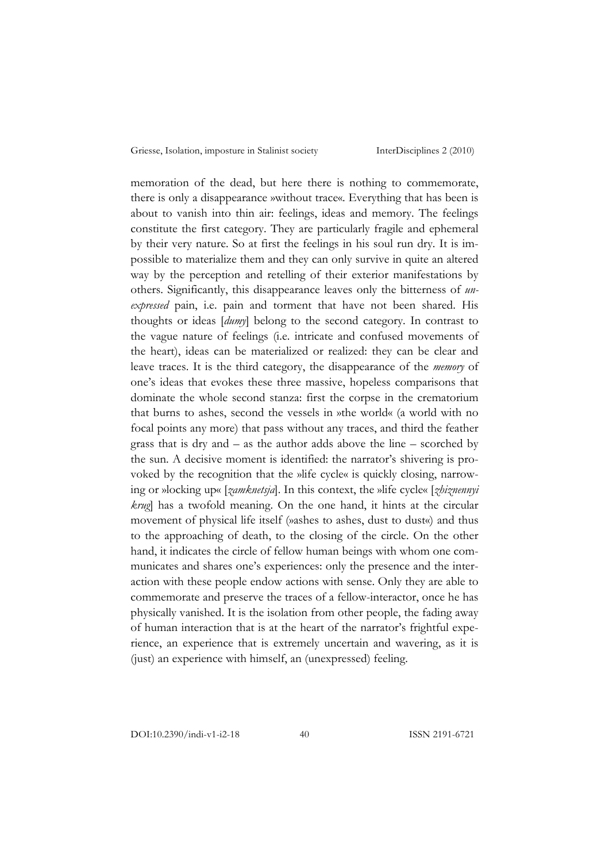memoration of the dead, but here there is nothing to commemorate, there is only a disappearance »without trace«. Everything that has been is about to vanish into thin air: feelings, ideas and memory. The feelings constitute the first category. They are particularly fragile and ephemeral by their very nature. So at first the feelings in his soul run dry. It is impossible to materialize them and they can only survive in quite an altered way by the perception and retelling of their exterior manifestations by others. Significantly, this disappearance leaves only the bitterness of *unexpressed* pain, i.e. pain and torment that have not been shared. His thoughts or ideas [*dumy*] belong to the second category. In contrast to the vague nature of feelings (i.e. intricate and confused movements of the heart), ideas can be materialized or realized: they can be clear and leave traces. It is the third category, the disappearance of the *memory* of one's ideas that evokes these three massive, hopeless comparisons that dominate the whole second stanza: first the corpse in the crematorium that burns to ashes, second the vessels in »the world« (a world with no focal points any more) that pass without any traces, and third the feather grass that is dry and – as the author adds above the line – scorched by the sun. A decisive moment is identified: the narrator's shivering is provoked by the recognition that the »life cycle« is quickly closing, narrowing or »locking up« [*zamknetsja*]. In this context, the »life cycle« [*zhiznennyi krug*] has a twofold meaning. On the one hand, it hints at the circular movement of physical life itself (»ashes to ashes, dust to dust«) and thus to the approaching of death, to the closing of the circle. On the other hand, it indicates the circle of fellow human beings with whom one communicates and shares one's experiences: only the presence and the interaction with these people endow actions with sense. Only they are able to commemorate and preserve the traces of a fellow-interactor, once he has physically vanished. It is the isolation from other people, the fading away of human interaction that is at the heart of the narrator's frightful experience, an experience that is extremely uncertain and wavering, as it is (just) an experience with himself, an (unexpressed) feeling.

DOI:10.2390/indi-v1-i2-18 40 ISSN 2191-6721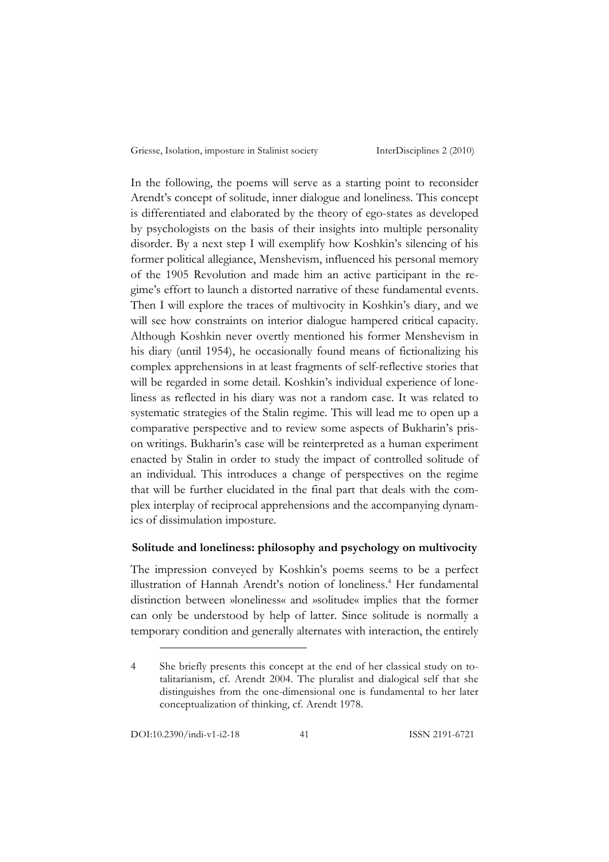In the following, the poems will serve as a starting point to reconsider Arendt's concept of solitude, inner dialogue and loneliness. This concept is differentiated and elaborated by the theory of ego-states as developed by psychologists on the basis of their insights into multiple personality disorder. By a next step I will exemplify how Koshkin's silencing of his former political allegiance, Menshevism, influenced his personal memory of the 1905 Revolution and made him an active participant in the regime's effort to launch a distorted narrative of these fundamental events. Then I will explore the traces of multivocity in Koshkin's diary, and we will see how constraints on interior dialogue hampered critical capacity. Although Koshkin never overtly mentioned his former Menshevism in his diary (until 1954), he occasionally found means of fictionalizing his complex apprehensions in at least fragments of self-reflective stories that will be regarded in some detail. Koshkin's individual experience of loneliness as reflected in his diary was not a random case. It was related to systematic strategies of the Stalin regime. This will lead me to open up a comparative perspective and to review some aspects of Bukharin's prison writings. Bukharin's case will be reinterpreted as a human experiment enacted by Stalin in order to study the impact of controlled solitude of an individual. This introduces a change of perspectives on the regime that will be further elucidated in the final part that deals with the complex interplay of reciprocal apprehensions and the accompanying dynamics of dissimulation imposture.

## **Solitude and loneliness: philosophy and psychology on multivocity**

The impression conveyed by Koshkin's poems seems to be a perfect illustration of Hannah Arendt's notion of loneliness.<sup>4</sup> Her fundamental distinction between »loneliness« and »solitude« implies that the former can only be understood by help of latter. Since solitude is normally a temporary condition and generally alternates with interaction, the entirely

<sup>4</sup> She briefly presents this concept at the end of her classical study on totalitarianism, cf. Arendt 2004. The pluralist and dialogical self that she distinguishes from the one-dimensional one is fundamental to her later conceptualization of thinking, cf. Arendt 1978.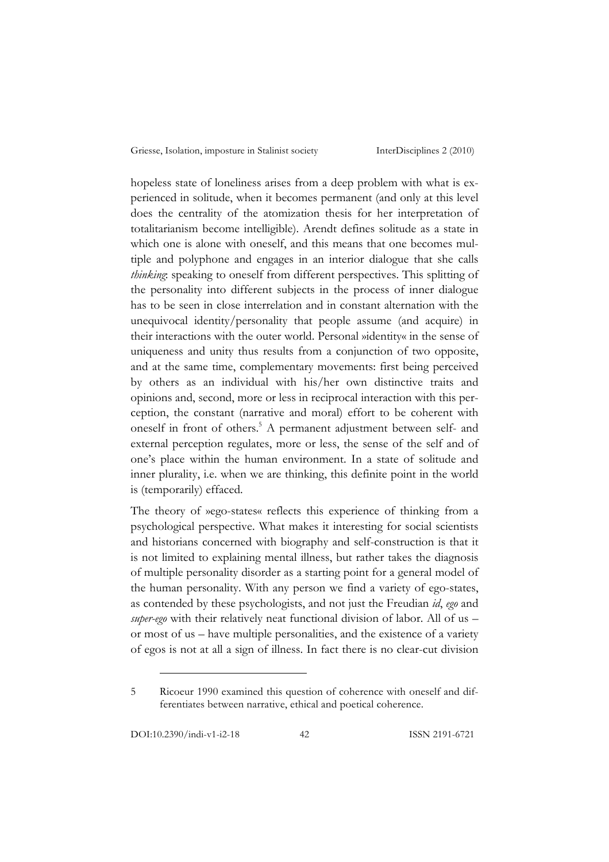hopeless state of loneliness arises from a deep problem with what is experienced in solitude, when it becomes permanent (and only at this level does the centrality of the atomization thesis for her interpretation of totalitarianism become intelligible). Arendt defines solitude as a state in which one is alone with oneself, and this means that one becomes multiple and polyphone and engages in an interior dialogue that she calls *thinking*: speaking to oneself from different perspectives. This splitting of the personality into different subjects in the process of inner dialogue has to be seen in close interrelation and in constant alternation with the unequivocal identity/personality that people assume (and acquire) in their interactions with the outer world. Personal »identity« in the sense of uniqueness and unity thus results from a conjunction of two opposite, and at the same time, complementary movements: first being perceived by others as an individual with his/her own distinctive traits and opinions and, second, more or less in reciprocal interaction with this perception, the constant (narrative and moral) effort to be coherent with oneself in front of others.<sup>5</sup> A permanent adjustment between self- and external perception regulates, more or less, the sense of the self and of one's place within the human environment. In a state of solitude and inner plurality, i.e. when we are thinking, this definite point in the world is (temporarily) effaced.

The theory of »ego-states« reflects this experience of thinking from a psychological perspective. What makes it interesting for social scientists and historians concerned with biography and self-construction is that it is not limited to explaining mental illness, but rather takes the diagnosis of multiple personality disorder as a starting point for a general model of the human personality. With any person we find a variety of ego-states, as contended by these psychologists, and not just the Freudian *id*, *ego* and *super-ego* with their relatively neat functional division of labor. All of us – or most of us – have multiple personalities, and the existence of a variety of egos is not at all a sign of illness. In fact there is no clear-cut division

<sup>5</sup> Ricoeur 1990 examined this question of coherence with oneself and differentiates between narrative, ethical and poetical coherence.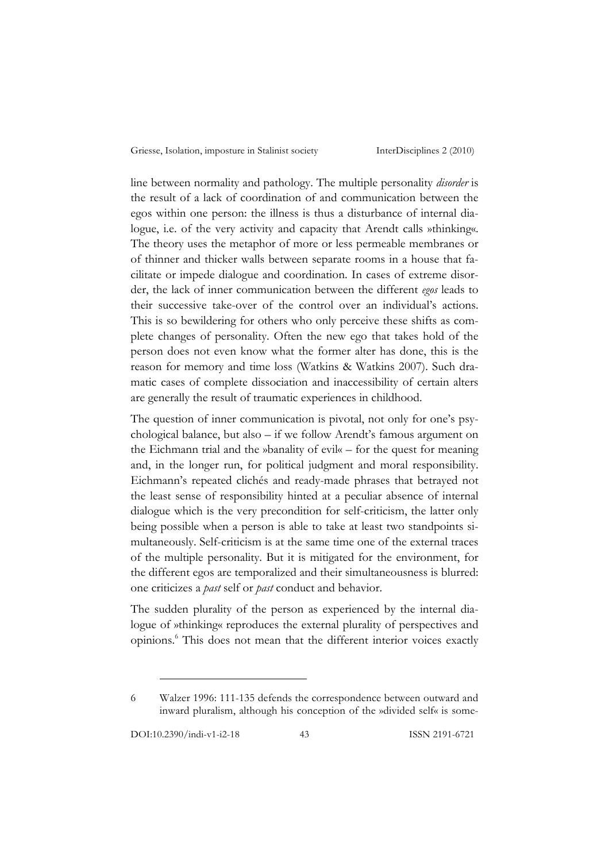line between normality and pathology. The multiple personality *disorder* is the result of a lack of coordination of and communication between the egos within one person: the illness is thus a disturbance of internal dialogue, i.e. of the very activity and capacity that Arendt calls »thinking«. The theory uses the metaphor of more or less permeable membranes or of thinner and thicker walls between separate rooms in a house that facilitate or impede dialogue and coordination. In cases of extreme disorder, the lack of inner communication between the different *egos* leads to their successive take-over of the control over an individual's actions. This is so bewildering for others who only perceive these shifts as complete changes of personality. Often the new ego that takes hold of the person does not even know what the former alter has done, this is the reason for memory and time loss (Watkins & Watkins 2007). Such dramatic cases of complete dissociation and inaccessibility of certain alters are generally the result of traumatic experiences in childhood.

The question of inner communication is pivotal, not only for one's psychological balance, but also – if we follow Arendt's famous argument on the Eichmann trial and the »banality of evil« – for the quest for meaning and, in the longer run, for political judgment and moral responsibility. Eichmann's repeated clichés and ready-made phrases that betrayed not the least sense of responsibility hinted at a peculiar absence of internal dialogue which is the very precondition for self-criticism, the latter only being possible when a person is able to take at least two standpoints simultaneously. Self-criticism is at the same time one of the external traces of the multiple personality. But it is mitigated for the environment, for the different egos are temporalized and their simultaneousness is blurred: one criticizes a *past* self or *past* conduct and behavior.

The sudden plurality of the person as experienced by the internal dialogue of »thinking« reproduces the external plurality of perspectives and opinions.6 This does not mean that the different interior voices exactly

<sup>6</sup> Walzer 1996: 111-135 defends the correspondence between outward and inward pluralism, although his conception of the »divided self« is some-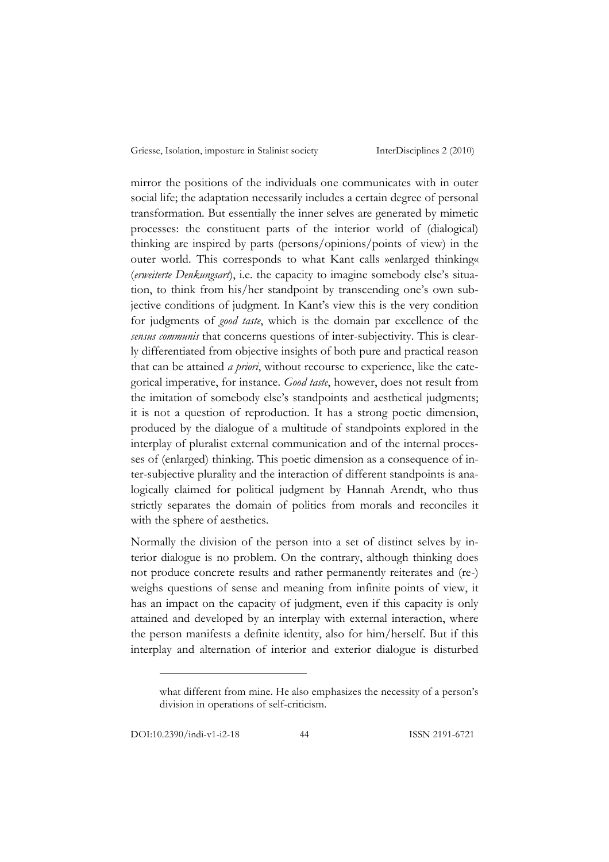mirror the positions of the individuals one communicates with in outer social life; the adaptation necessarily includes a certain degree of personal transformation. But essentially the inner selves are generated by mimetic processes: the constituent parts of the interior world of (dialogical) thinking are inspired by parts (persons/opinions/points of view) in the outer world. This corresponds to what Kant calls »enlarged thinking« (*erweiterte Denkungsart*), i.e. the capacity to imagine somebody else's situation, to think from his/her standpoint by transcending one's own subjective conditions of judgment. In Kant's view this is the very condition for judgments of *good taste*, which is the domain par excellence of the *sensus communis* that concerns questions of inter-subjectivity. This is clearly differentiated from objective insights of both pure and practical reason that can be attained *a priori*, without recourse to experience, like the categorical imperative, for instance. *Good taste*, however, does not result from the imitation of somebody else's standpoints and aesthetical judgments; it is not a question of reproduction. It has a strong poetic dimension, produced by the dialogue of a multitude of standpoints explored in the interplay of pluralist external communication and of the internal processes of (enlarged) thinking. This poetic dimension as a consequence of inter-subjective plurality and the interaction of different standpoints is analogically claimed for political judgment by Hannah Arendt, who thus strictly separates the domain of politics from morals and reconciles it with the sphere of aesthetics.

Normally the division of the person into a set of distinct selves by interior dialogue is no problem. On the contrary, although thinking does not produce concrete results and rather permanently reiterates and (re-) weighs questions of sense and meaning from infinite points of view, it has an impact on the capacity of judgment, even if this capacity is only attained and developed by an interplay with external interaction, where the person manifests a definite identity, also for him/herself. But if this interplay and alternation of interior and exterior dialogue is disturbed

DOI:10.2390/indi-v1-i2-18 44 ISSN 2191-6721

what different from mine. He also emphasizes the necessity of a person's division in operations of self-criticism.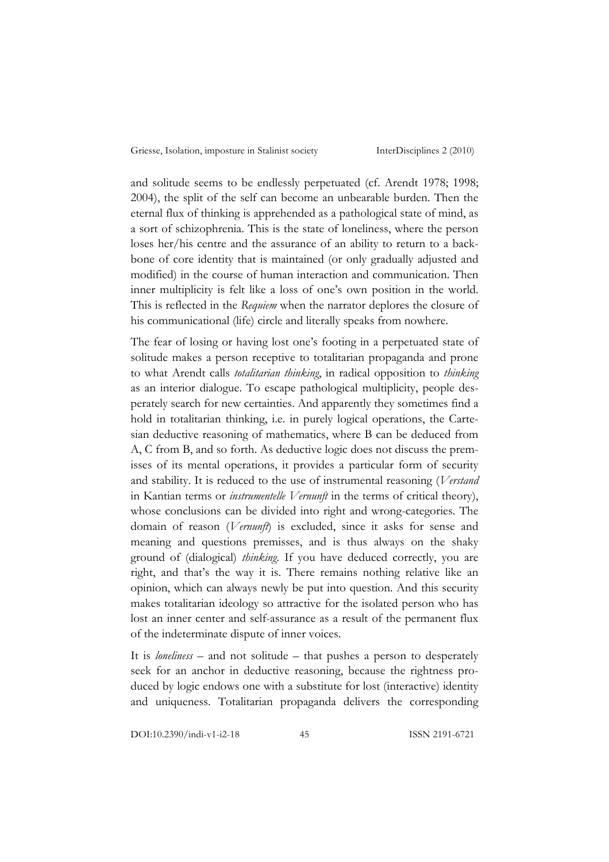and solitude seems to be endlessly perpetuated (cf. Arendt 1978; 1998; 2004), the split of the self can become an unbearable burden. Then the eternal flux of thinking is apprehended as a pathological state of mind, as a sort of schizophrenia. This is the state of loneliness, where the person loses her/his centre and the assurance of an ability to return to a backbone of core identity that is maintained (or only gradually adjusted and modified) in the course of human interaction and communication. Then inner multiplicity is felt like a loss of one's own position in the world. This is reflected in the *Requiem* when the narrator deplores the closure of his communicational (life) circle and literally speaks from nowhere.

The fear of losing or having lost one's footing in a perpetuated state of solitude makes a person receptive to totalitarian propaganda and prone to what Arendt calls *totalitarian thinking*, in radical opposition to *thinking* as an interior dialogue. To escape pathological multiplicity, people desperately search for new certainties. And apparently they sometimes find a hold in totalitarian thinking, i.e. in purely logical operations, the Cartesian deductive reasoning of mathematics, where B can be deduced from A, C from B, and so forth. As deductive logic does not discuss the premisses of its mental operations, it provides a particular form of security and stability. It is reduced to the use of instrumental reasoning (*Verstand* in Kantian terms or *instrumentelle Vernunft* in the terms of critical theory), whose conclusions can be divided into right and wrong-categories. The domain of reason (*Vernunft*) is excluded, since it asks for sense and meaning and questions premisses, and is thus always on the shaky ground of (dialogical) *thinking*. If you have deduced correctly, you are right, and that's the way it is. There remains nothing relative like an opinion, which can always newly be put into question. And this security makes totalitarian ideology so attractive for the isolated person who has lost an inner center and self-assurance as a result of the permanent flux of the indeterminate dispute of inner voices.

It is *loneliness* – and not solitude – that pushes a person to desperately seek for an anchor in deductive reasoning, because the rightness produced by logic endows one with a substitute for lost (interactive) identity and uniqueness. Totalitarian propaganda delivers the corresponding

DOI:10.2390/indi-v1-i2-18 45 ISSN 2191-6721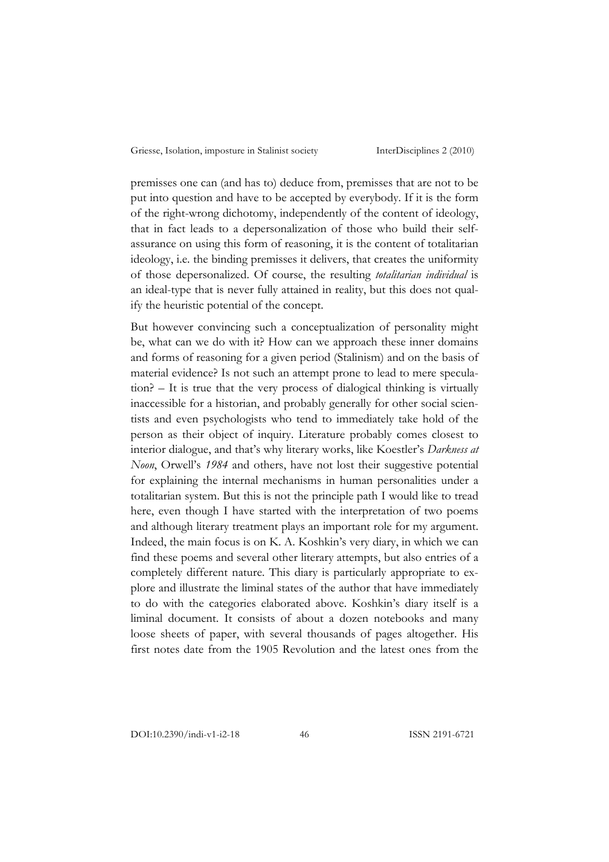premisses one can (and has to) deduce from, premisses that are not to be put into question and have to be accepted by everybody. If it is the form of the right-wrong dichotomy, independently of the content of ideology, that in fact leads to a depersonalization of those who build their selfassurance on using this form of reasoning, it is the content of totalitarian ideology, i.e. the binding premisses it delivers, that creates the uniformity of those depersonalized. Of course, the resulting *totalitarian individual* is an ideal-type that is never fully attained in reality, but this does not qualify the heuristic potential of the concept.

But however convincing such a conceptualization of personality might be, what can we do with it? How can we approach these inner domains and forms of reasoning for a given period (Stalinism) and on the basis of material evidence? Is not such an attempt prone to lead to mere speculation? – It is true that the very process of dialogical thinking is virtually inaccessible for a historian, and probably generally for other social scientists and even psychologists who tend to immediately take hold of the person as their object of inquiry. Literature probably comes closest to interior dialogue, and that's why literary works, like Koestler's *Darkness at Noon*, Orwell's *1984* and others, have not lost their suggestive potential for explaining the internal mechanisms in human personalities under a totalitarian system. But this is not the principle path I would like to tread here, even though I have started with the interpretation of two poems and although literary treatment plays an important role for my argument. Indeed, the main focus is on K. A. Koshkin's very diary, in which we can find these poems and several other literary attempts, but also entries of a completely different nature. This diary is particularly appropriate to explore and illustrate the liminal states of the author that have immediately to do with the categories elaborated above. Koshkin's diary itself is a liminal document. It consists of about a dozen notebooks and many loose sheets of paper, with several thousands of pages altogether. His first notes date from the 1905 Revolution and the latest ones from the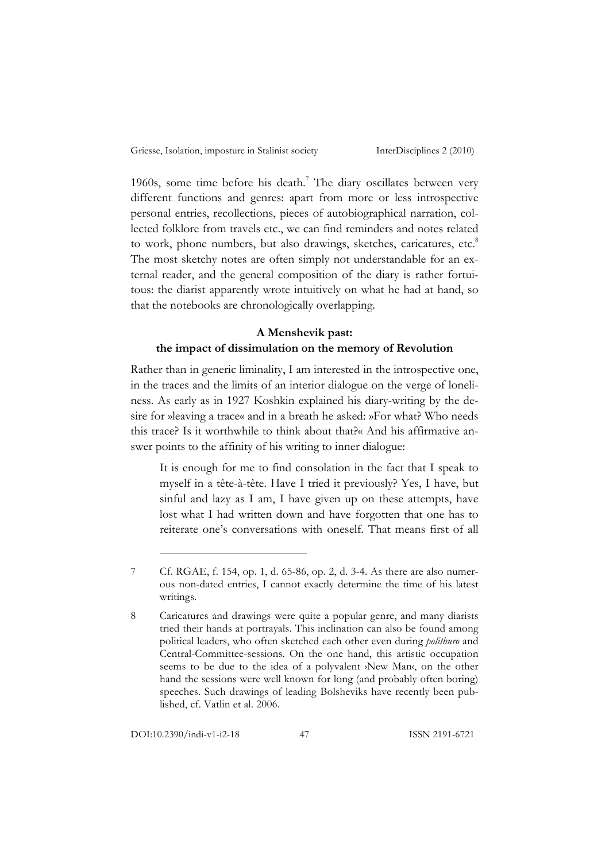1960s, some time before his death.<sup>7</sup> The diary oscillates between very different functions and genres: apart from more or less introspective personal entries, recollections, pieces of autobiographical narration, collected folklore from travels etc., we can find reminders and notes related to work, phone numbers, but also drawings, sketches, caricatures, etc.<sup>8</sup> The most sketchy notes are often simply not understandable for an external reader, and the general composition of the diary is rather fortuitous: the diarist apparently wrote intuitively on what he had at hand, so that the notebooks are chronologically overlapping.

#### **A Menshevik past:**

## **the impact of dissimulation on the memory of Revolution**

Rather than in generic liminality, I am interested in the introspective one, in the traces and the limits of an interior dialogue on the verge of loneliness. As early as in 1927 Koshkin explained his diary-writing by the desire for »leaving a trace« and in a breath he asked: »For what? Who needs this trace? Is it worthwhile to think about that?« And his affirmative answer points to the affinity of his writing to inner dialogue:

It is enough for me to find consolation in the fact that I speak to myself in a tête-à-tête. Have I tried it previously? Yes, I have, but sinful and lazy as I am, I have given up on these attempts, have lost what I had written down and have forgotten that one has to reiterate one's conversations with oneself. That means first of all

<sup>7</sup> Cf. RGAE, f. 154, op. 1, d. 65-86, op. 2, d. 3-4. As there are also numerous non-dated entries, I cannot exactly determine the time of his latest writings.

<sup>8</sup> Caricatures and drawings were quite a popular genre, and many diarists tried their hands at portrayals. This inclination can also be found among political leaders, who often sketched each other even during *politburo* and Central-Committee-sessions. On the one hand, this artistic occupation seems to be due to the idea of a polyvalent >New Man $\varsigma$  on the other hand the sessions were well known for long (and probably often boring) speeches. Such drawings of leading Bolsheviks have recently been published, cf. Vatlin et al. 2006.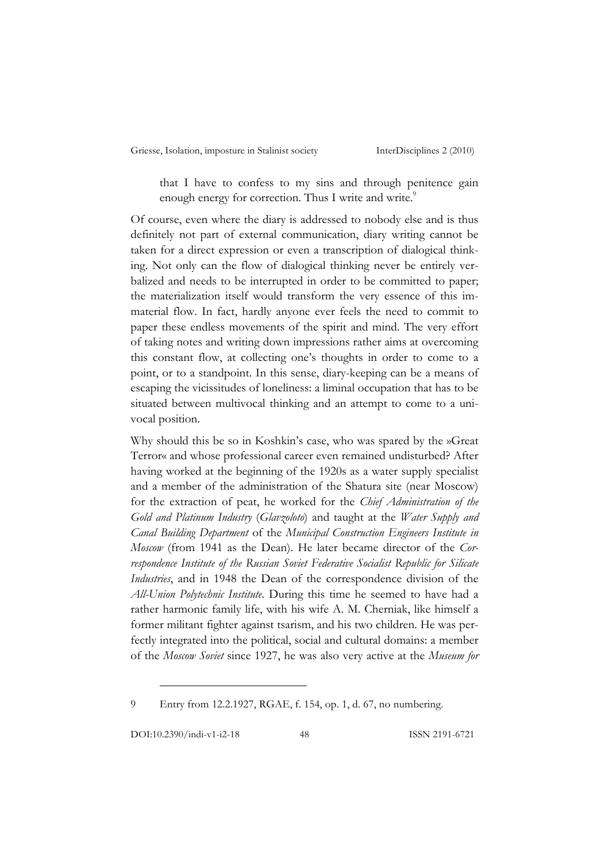that I have to confess to my sins and through penitence gain enough energy for correction. Thus I write and write.<sup>9</sup>

Of course, even where the diary is addressed to nobody else and is thus definitely not part of external communication, diary writing cannot be taken for a direct expression or even a transcription of dialogical thinking. Not only can the flow of dialogical thinking never be entirely verbalized and needs to be interrupted in order to be committed to paper; the materialization itself would transform the very essence of this immaterial flow. In fact, hardly anyone ever feels the need to commit to paper these endless movements of the spirit and mind. The very effort of taking notes and writing down impressions rather aims at overcoming this constant flow, at collecting one's thoughts in order to come to a point, or to a standpoint. In this sense, diary-keeping can be a means of escaping the vicissitudes of loneliness: a liminal occupation that has to be situated between multivocal thinking and an attempt to come to a univocal position.

Why should this be so in Koshkin's case, who was spared by the »Great Terror« and whose professional career even remained undisturbed? After having worked at the beginning of the 1920s as a water supply specialist and a member of the administration of the Shatura site (near Moscow) for the extraction of peat, he worked for the *Chief Administration of the Gold and Platinum Industry* (*Glavzoloto*) and taught at the *Water Supply and Canal Building Department* of the *Municipal Construction Engineers Institute in Moscow* (from 1941 as the Dean). He later became director of the *Correspondence Institute of the Russian Soviet Federative Socialist Republic for Silicate Industries*, and in 1948 the Dean of the correspondence division of the *All-Union Polytechnic Institute*. During this time he seemed to have had a rather harmonic family life, with his wife A. M. Cherniak, like himself a former militant fighter against tsarism, and his two children. He was perfectly integrated into the political, social and cultural domains: a member of the *Moscow Soviet* since 1927, he was also very active at the *Museum for* 

9 Entry from 12.2.1927, RGAE, f. 154, op. 1, d. 67, no numbering.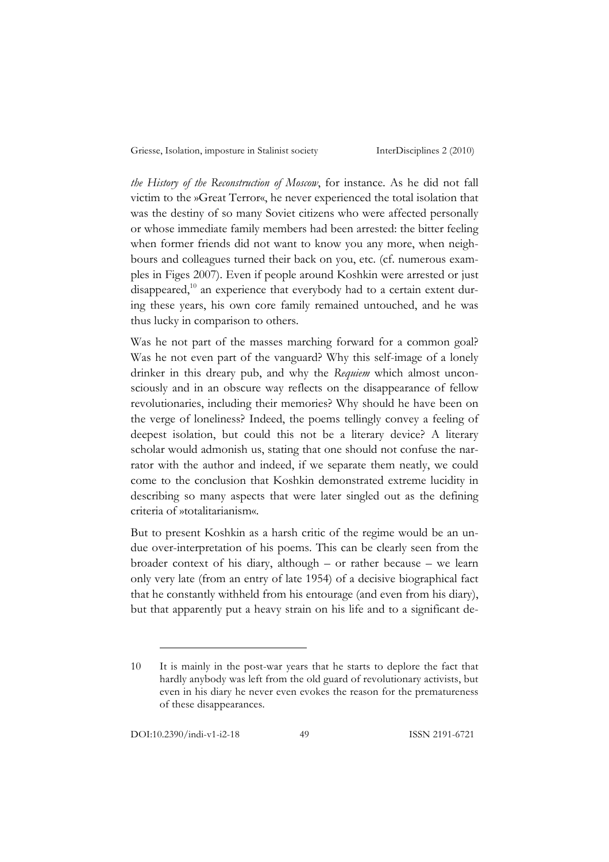*the History of the Reconstruction of Moscow*, for instance. As he did not fall victim to the »Great Terror«, he never experienced the total isolation that was the destiny of so many Soviet citizens who were affected personally or whose immediate family members had been arrested: the bitter feeling when former friends did not want to know you any more, when neighbours and colleagues turned their back on you, etc. (cf. numerous examples in Figes 2007). Even if people around Koshkin were arrested or just disappeared, $10$  an experience that everybody had to a certain extent during these years, his own core family remained untouched, and he was thus lucky in comparison to others.

Was he not part of the masses marching forward for a common goal? Was he not even part of the vanguard? Why this self-image of a lonely drinker in this dreary pub, and why the *Requiem* which almost unconsciously and in an obscure way reflects on the disappearance of fellow revolutionaries, including their memories? Why should he have been on the verge of loneliness? Indeed, the poems tellingly convey a feeling of deepest isolation, but could this not be a literary device? A literary scholar would admonish us, stating that one should not confuse the narrator with the author and indeed, if we separate them neatly, we could come to the conclusion that Koshkin demonstrated extreme lucidity in describing so many aspects that were later singled out as the defining criteria of »totalitarianism«.

But to present Koshkin as a harsh critic of the regime would be an undue over-interpretation of his poems. This can be clearly seen from the broader context of his diary, although – or rather because – we learn only very late (from an entry of late 1954) of a decisive biographical fact that he constantly withheld from his entourage (and even from his diary), but that apparently put a heavy strain on his life and to a significant de-

<sup>10</sup> It is mainly in the post-war years that he starts to deplore the fact that hardly anybody was left from the old guard of revolutionary activists, but even in his diary he never even evokes the reason for the prematureness of these disappearances.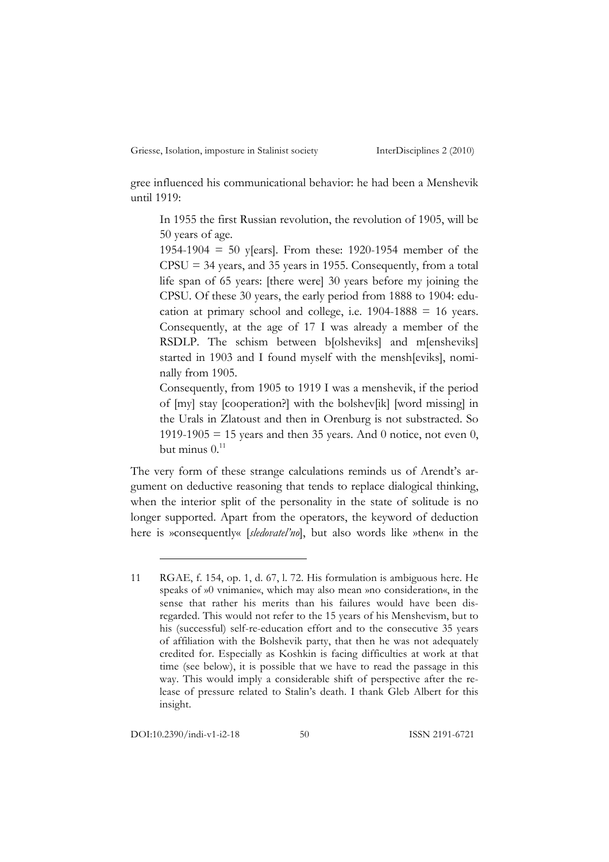gree influenced his communicational behavior: he had been a Menshevik until 1919:

In 1955 the first Russian revolution, the revolution of 1905, will be 50 years of age.

1954-1904 = 50 y[ears]. From these: 1920-1954 member of the  $CPSU = 34$  years, and 35 years in 1955. Consequently, from a total life span of 65 years: [there were] 30 years before my joining the CPSU. Of these 30 years, the early period from 1888 to 1904: education at primary school and college, i.e.  $1904-1888 = 16$  years. Consequently, at the age of 17 I was already a member of the RSDLP. The schism between b[olsheviks] and m[ensheviks] started in 1903 and I found myself with the mensh[eviks], nominally from 1905.

Consequently, from 1905 to 1919 I was a menshevik, if the period of [my] stay [cooperation?] with the bolshev[ik] [word missing] in the Urals in Zlatoust and then in Orenburg is not substracted. So 1919-1905 = 15 years and then 35 years. And 0 notice, not even 0, but minus  $0.11$ 

The very form of these strange calculations reminds us of Arendt's argument on deductive reasoning that tends to replace dialogical thinking, when the interior split of the personality in the state of solitude is no longer supported. Apart from the operators, the keyword of deduction here is »consequently« [*sledovatel'no*], but also words like »then« in the

<sup>11</sup> RGAE, f. 154, op. 1, d. 67, l. 72. His formulation is ambiguous here. He speaks of »0 vnimanie«, which may also mean »no consideration«, in the sense that rather his merits than his failures would have been disregarded. This would not refer to the 15 years of his Menshevism, but to his (successful) self-re-education effort and to the consecutive 35 years of affiliation with the Bolshevik party, that then he was not adequately credited for. Especially as Koshkin is facing difficulties at work at that time (see below), it is possible that we have to read the passage in this way. This would imply a considerable shift of perspective after the release of pressure related to Stalin's death. I thank Gleb Albert for this insight.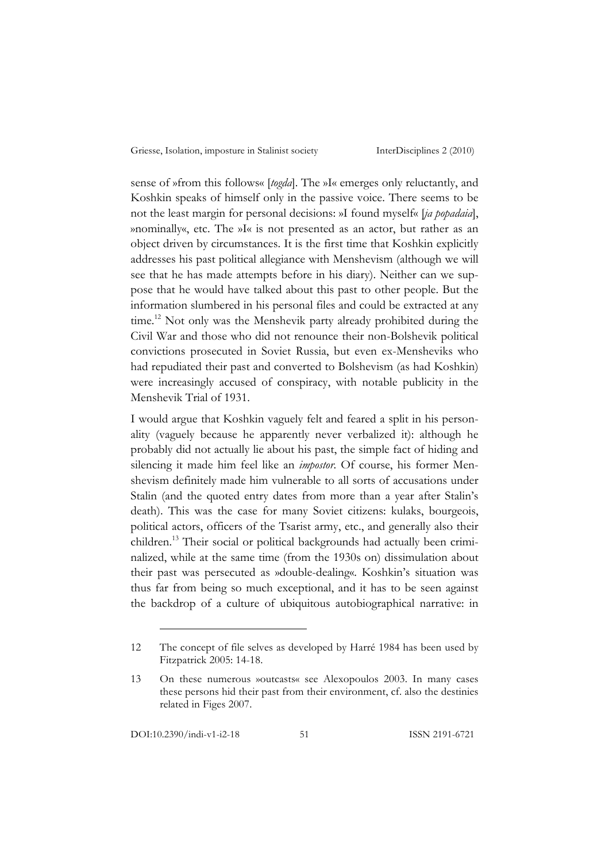sense of »from this follows« [*togda*]. The »I« emerges only reluctantly, and Koshkin speaks of himself only in the passive voice. There seems to be not the least margin for personal decisions: »I found myself« [*ja popadaia*], »nominally«, etc. The »I« is not presented as an actor, but rather as an object driven by circumstances. It is the first time that Koshkin explicitly addresses his past political allegiance with Menshevism (although we will see that he has made attempts before in his diary). Neither can we suppose that he would have talked about this past to other people. But the information slumbered in his personal files and could be extracted at any time.<sup>12</sup> Not only was the Menshevik party already prohibited during the Civil War and those who did not renounce their non-Bolshevik political convictions prosecuted in Soviet Russia, but even ex-Mensheviks who had repudiated their past and converted to Bolshevism (as had Koshkin) were increasingly accused of conspiracy, with notable publicity in the Menshevik Trial of 1931.

I would argue that Koshkin vaguely felt and feared a split in his personality (vaguely because he apparently never verbalized it): although he probably did not actually lie about his past, the simple fact of hiding and silencing it made him feel like an *impostor*. Of course, his former Menshevism definitely made him vulnerable to all sorts of accusations under Stalin (and the quoted entry dates from more than a year after Stalin's death). This was the case for many Soviet citizens: kulaks, bourgeois, political actors, officers of the Tsarist army, etc., and generally also their children. <sup>13</sup> Their social or political backgrounds had actually been criminalized, while at the same time (from the 1930s on) dissimulation about their past was persecuted as »double-dealing«. Koshkin's situation was thus far from being so much exceptional, and it has to be seen against the backdrop of a culture of ubiquitous autobiographical narrative: in

<sup>12</sup> The concept of file selves as developed by Harré 1984 has been used by Fitzpatrick 2005: 14-18.

<sup>13</sup> On these numerous »outcasts« see Alexopoulos 2003. In many cases these persons hid their past from their environment, cf. also the destinies related in Figes 2007.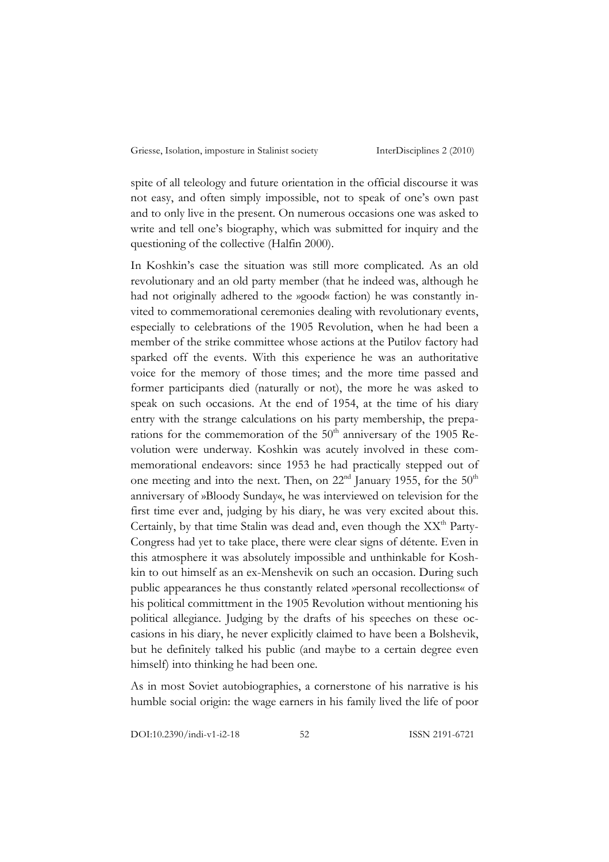spite of all teleology and future orientation in the official discourse it was not easy, and often simply impossible, not to speak of one's own past and to only live in the present. On numerous occasions one was asked to write and tell one's biography, which was submitted for inquiry and the questioning of the collective (Halfin 2000).

In Koshkin's case the situation was still more complicated. As an old revolutionary and an old party member (that he indeed was, although he had not originally adhered to the »good« faction) he was constantly invited to commemorational ceremonies dealing with revolutionary events, especially to celebrations of the 1905 Revolution, when he had been a member of the strike committee whose actions at the Putilov factory had sparked off the events. With this experience he was an authoritative voice for the memory of those times; and the more time passed and former participants died (naturally or not), the more he was asked to speak on such occasions. At the end of 1954, at the time of his diary entry with the strange calculations on his party membership, the preparations for the commemoration of the 50<sup>th</sup> anniversary of the 1905 Revolution were underway. Koshkin was acutely involved in these commemorational endeavors: since 1953 he had practically stepped out of one meeting and into the next. Then, on 22<sup>nd</sup> January 1955, for the 50<sup>th</sup> anniversary of »Bloody Sunday«, he was interviewed on television for the first time ever and, judging by his diary, he was very excited about this. Certainly, by that time Stalin was dead and, even though the  $XX<sup>th</sup>$  Party-Congress had yet to take place, there were clear signs of détente. Even in this atmosphere it was absolutely impossible and unthinkable for Koshkin to out himself as an ex-Menshevik on such an occasion. During such public appearances he thus constantly related »personal recollections« of his political committment in the 1905 Revolution without mentioning his political allegiance. Judging by the drafts of his speeches on these occasions in his diary, he never explicitly claimed to have been a Bolshevik, but he definitely talked his public (and maybe to a certain degree even himself) into thinking he had been one.

As in most Soviet autobiographies, a cornerstone of his narrative is his humble social origin: the wage earners in his family lived the life of poor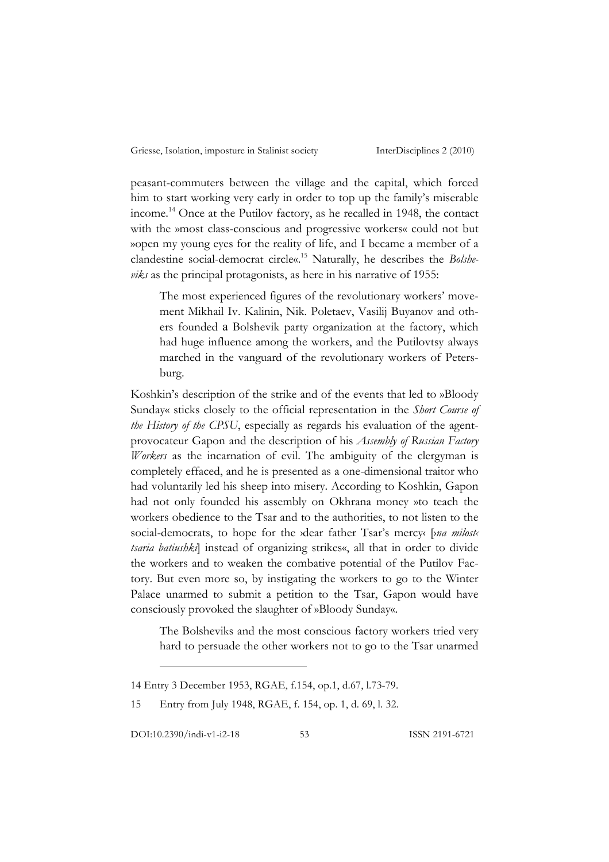peasant-commuters between the village and the capital, which forced him to start working very early in order to top up the family's miserable income.14 Once at the Putilov factory, as he recalled in 1948, the contact with the »most class-conscious and progressive workers« could not but »open my young eyes for the reality of life, and I became a member of a clandestine social-democrat circle«.15 Naturally, he describes the *Bolsheviks* as the principal protagonists, as here in his narrative of 1955:

The most experienced figures of the revolutionary workers' movement Mikhail Iv. Kalinin, Nik. Poletaev, Vasilij Buyanov and others founded a Bolshevik party organization at the factory, which had huge influence among the workers, and the Putilovtsy always marched in the vanguard of the revolutionary workers of Petersburg.

Koshkin's description of the strike and of the events that led to »Bloody Sunday« sticks closely to the official representation in the *Short Course of the History of the CPSU*, especially as regards his evaluation of the agentprovocateur Gapon and the description of his *Assembly of Russian Factory Workers* as the incarnation of evil. The ambiguity of the clergyman is completely effaced, and he is presented as a one-dimensional traitor who had voluntarily led his sheep into misery. According to Koshkin, Gapon had not only founded his assembly on Okhrana money »to teach the workers obedience to the Tsar and to the authorities, to not listen to the social-democrats, to hope for the *y*dear father Tsar's mercy( [*yna milost*< *tsaria batiushki*] instead of organizing strikes«, all that in order to divide the workers and to weaken the combative potential of the Putilov Factory. But even more so, by instigating the workers to go to the Winter Palace unarmed to submit a petition to the Tsar, Gapon would have consciously provoked the slaughter of »Bloody Sunday«.

The Bolsheviks and the most conscious factory workers tried very hard to persuade the other workers not to go to the Tsar unarmed

<sup>14</sup> Entry 3 December 1953, RGAE, f.154, op.1, d.67, l.73-79.

<sup>15</sup> Entry from July 1948, RGAE, f. 154, op. 1, d. 69, l. 32.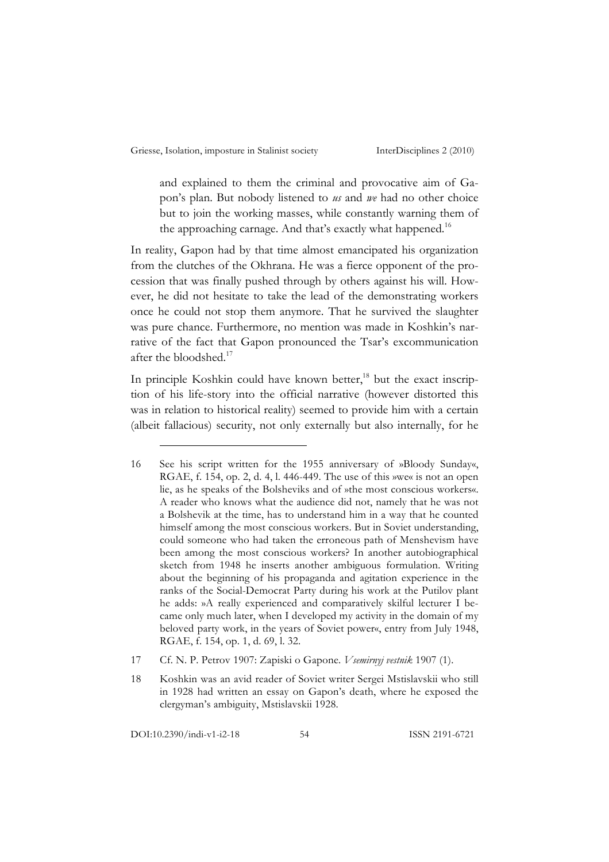and explained to them the criminal and provocative aim of Gapon's plan. But nobody listened to *us* and *we* had no other choice but to join the working masses, while constantly warning them of the approaching carnage. And that's exactly what happened.<sup>16</sup>

In reality, Gapon had by that time almost emancipated his organization from the clutches of the Okhrana. He was a fierce opponent of the procession that was finally pushed through by others against his will. However, he did not hesitate to take the lead of the demonstrating workers once he could not stop them anymore. That he survived the slaughter was pure chance. Furthermore, no mention was made in Koshkin's narrative of the fact that Gapon pronounced the Tsar's excommunication after the bloodshed.<sup>17</sup>

In principle Koshkin could have known better, $18$  but the exact inscription of his life-story into the official narrative (however distorted this was in relation to historical reality) seemed to provide him with a certain (albeit fallacious) security, not only externally but also internally, for he

17 Cf. N. P. Petrov 1907: Zapiski o Gapone. *Vsemirnyj vestnik* 1907 (1).

DOI:10.2390/indi-v1-i2-18 54 ISSN 2191-6721

<sup>16</sup> See his script written for the 1955 anniversary of »Bloody Sunday«, RGAE, f. 154, op. 2, d. 4, l. 446-449. The use of this »we« is not an open lie, as he speaks of the Bolsheviks and of »the most conscious workers«. A reader who knows what the audience did not, namely that he was not a Bolshevik at the time, has to understand him in a way that he counted himself among the most conscious workers. But in Soviet understanding, could someone who had taken the erroneous path of Menshevism have been among the most conscious workers? In another autobiographical sketch from 1948 he inserts another ambiguous formulation. Writing about the beginning of his propaganda and agitation experience in the ranks of the Social-Democrat Party during his work at the Putilov plant he adds: »A really experienced and comparatively skilful lecturer I became only much later, when I developed my activity in the domain of my beloved party work, in the years of Soviet power«, entry from July 1948, RGAE, f. 154, op. 1, d. 69, l. 32.

<sup>18</sup> Koshkin was an avid reader of Soviet writer Sergei Mstislavskii who still in 1928 had written an essay on Gapon's death, where he exposed the clergyman's ambiguity, Mstislavskii 1928.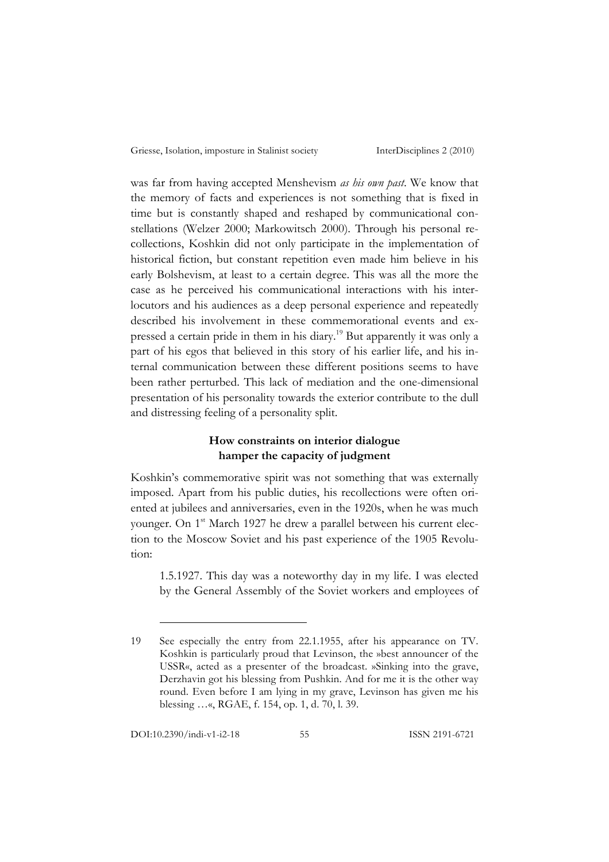was far from having accepted Menshevism *as his own past*. We know that the memory of facts and experiences is not something that is fixed in time but is constantly shaped and reshaped by communicational constellations (Welzer 2000; Markowitsch 2000). Through his personal recollections, Koshkin did not only participate in the implementation of historical fiction, but constant repetition even made him believe in his early Bolshevism, at least to a certain degree. This was all the more the case as he perceived his communicational interactions with his interlocutors and his audiences as a deep personal experience and repeatedly described his involvement in these commemorational events and expressed a certain pride in them in his diary.<sup>19</sup> But apparently it was only a part of his egos that believed in this story of his earlier life, and his internal communication between these different positions seems to have been rather perturbed. This lack of mediation and the one-dimensional presentation of his personality towards the exterior contribute to the dull and distressing feeling of a personality split.

## **How constraints on interior dialogue hamper the capacity of judgment**

Koshkin's commemorative spirit was not something that was externally imposed. Apart from his public duties, his recollections were often oriented at jubilees and anniversaries, even in the 1920s, when he was much younger. On 1<sup>st</sup> March 1927 he drew a parallel between his current election to the Moscow Soviet and his past experience of the 1905 Revolution:

1.5.1927. This day was a noteworthy day in my life. I was elected by the General Assembly of the Soviet workers and employees of

<sup>19</sup> See especially the entry from 22.1.1955, after his appearance on TV. Koshkin is particularly proud that Levinson, the »best announcer of the USSR«, acted as a presenter of the broadcast. »Sinking into the grave, Derzhavin got his blessing from Pushkin. And for me it is the other way round. Even before I am lying in my grave, Levinson has given me his blessing …«, RGAE, f. 154, op. 1, d. 70, l. 39.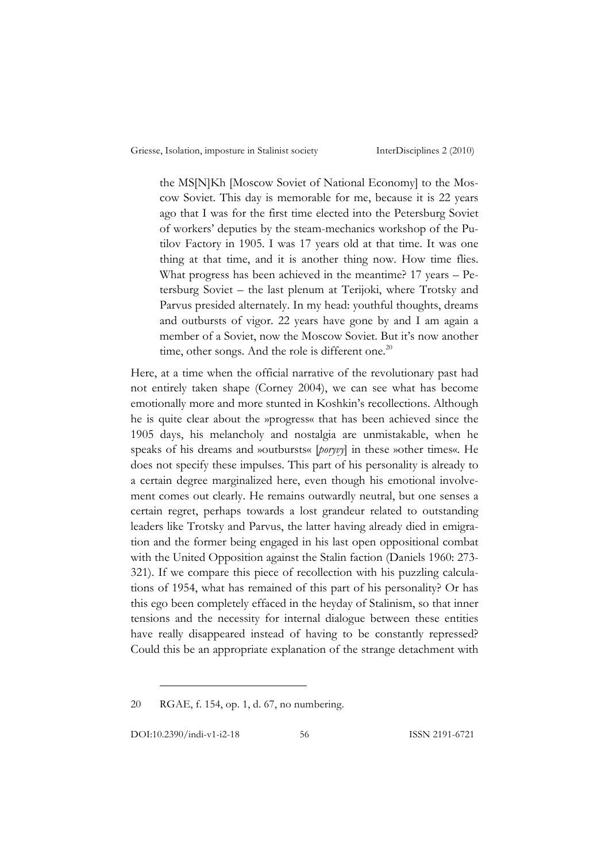the MS[N]Kh [Moscow Soviet of National Economy] to the Moscow Soviet. This day is memorable for me, because it is 22 years ago that I was for the first time elected into the Petersburg Soviet of workers' deputies by the steam-mechanics workshop of the Putilov Factory in 1905. I was 17 years old at that time. It was one thing at that time, and it is another thing now. How time flies. What progress has been achieved in the meantime? 17 years – Petersburg Soviet – the last plenum at Terijoki, where Trotsky and Parvus presided alternately. In my head: youthful thoughts, dreams and outbursts of vigor. 22 years have gone by and I am again a member of a Soviet, now the Moscow Soviet. But it's now another time, other songs. And the role is different one. $^{20}$ 

Here, at a time when the official narrative of the revolutionary past had not entirely taken shape (Corney 2004), we can see what has become emotionally more and more stunted in Koshkin's recollections. Although he is quite clear about the »progress« that has been achieved since the 1905 days, his melancholy and nostalgia are unmistakable, when he speaks of his dreams and »outbursts« [*poryvy*] in these »other times«. He does not specify these impulses. This part of his personality is already to a certain degree marginalized here, even though his emotional involvement comes out clearly. He remains outwardly neutral, but one senses a certain regret, perhaps towards a lost grandeur related to outstanding leaders like Trotsky and Parvus, the latter having already died in emigration and the former being engaged in his last open oppositional combat with the United Opposition against the Stalin faction (Daniels 1960: 273- 321). If we compare this piece of recollection with his puzzling calculations of 1954, what has remained of this part of his personality? Or has this ego been completely effaced in the heyday of Stalinism, so that inner tensions and the necessity for internal dialogue between these entities have really disappeared instead of having to be constantly repressed? Could this be an appropriate explanation of the strange detachment with

20 RGAE, f. 154, op. 1, d. 67, no numbering.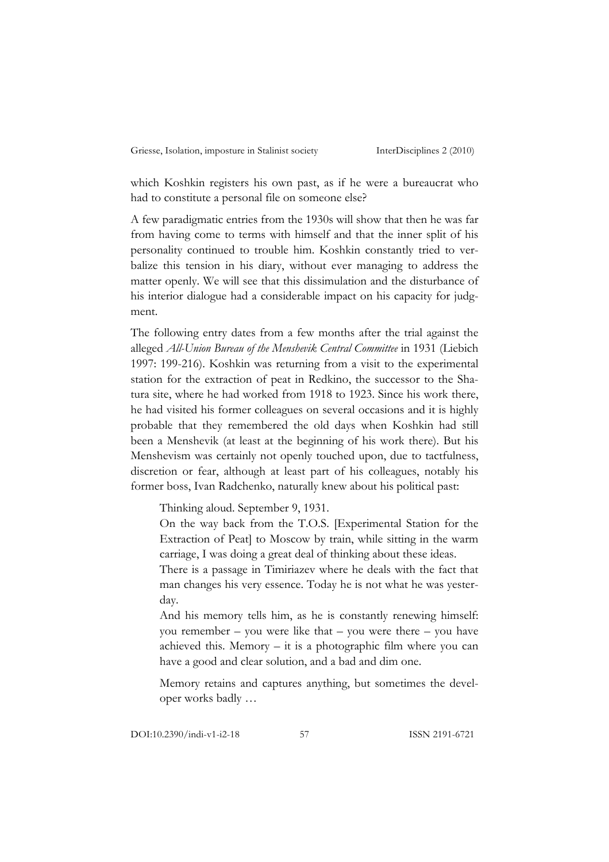which Koshkin registers his own past, as if he were a bureaucrat who had to constitute a personal file on someone else?

A few paradigmatic entries from the 1930s will show that then he was far from having come to terms with himself and that the inner split of his personality continued to trouble him. Koshkin constantly tried to verbalize this tension in his diary, without ever managing to address the matter openly. We will see that this dissimulation and the disturbance of his interior dialogue had a considerable impact on his capacity for judgment.

The following entry dates from a few months after the trial against the alleged *All-Union Bureau of the Menshevik Central Committee* in 1931 (Liebich 1997: 199-216). Koshkin was returning from a visit to the experimental station for the extraction of peat in Redkino, the successor to the Shatura site, where he had worked from 1918 to 1923. Since his work there, he had visited his former colleagues on several occasions and it is highly probable that they remembered the old days when Koshkin had still been a Menshevik (at least at the beginning of his work there). But his Menshevism was certainly not openly touched upon, due to tactfulness, discretion or fear, although at least part of his colleagues, notably his former boss, Ivan Radchenko, naturally knew about his political past:

Thinking aloud. September 9, 1931.

On the way back from the T.O.S. [Experimental Station for the Extraction of Peat] to Moscow by train, while sitting in the warm carriage, I was doing a great deal of thinking about these ideas.

There is a passage in Timiriazev where he deals with the fact that man changes his very essence. Today he is not what he was yesterday.

And his memory tells him, as he is constantly renewing himself: you remember – you were like that – you were there – you have achieved this. Memory  $-$  it is a photographic film where you can have a good and clear solution, and a bad and dim one.

Memory retains and captures anything, but sometimes the developer works badly …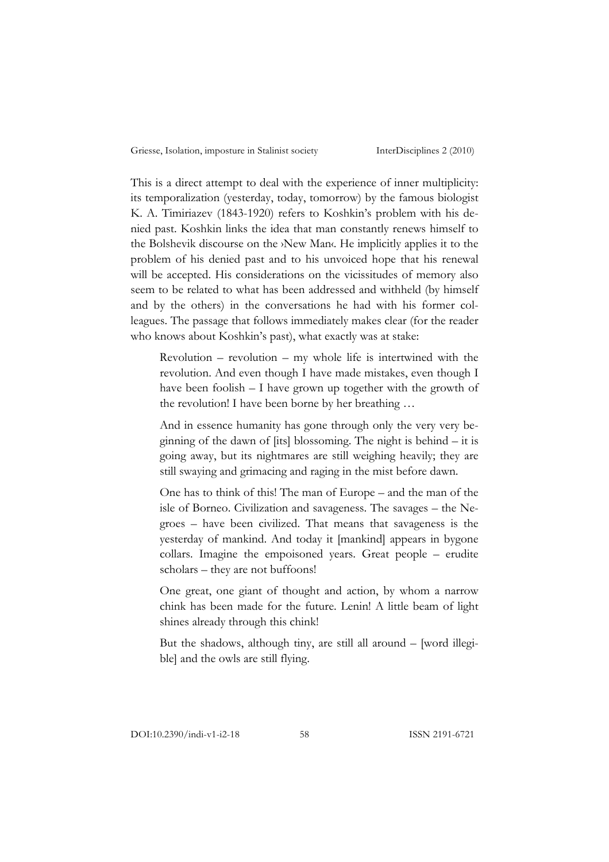This is a direct attempt to deal with the experience of inner multiplicity: its temporalization (yesterday, today, tomorrow) by the famous biologist K. A. Timiriazev (1843-1920) refers to Koshkin's problem with his denied past. Koshkin links the idea that man constantly renews himself to the Bolshevik discourse on the ›New Man‹. He implicitly applies it to the problem of his denied past and to his unvoiced hope that his renewal will be accepted. His considerations on the vicissitudes of memory also seem to be related to what has been addressed and withheld (by himself and by the others) in the conversations he had with his former colleagues. The passage that follows immediately makes clear (for the reader who knows about Koshkin's past), what exactly was at stake:

 $Revolution - revolution - my whole life is intertwined with the$ revolution. And even though I have made mistakes, even though I have been foolish – I have grown up together with the growth of the revolution! I have been borne by her breathing …

And in essence humanity has gone through only the very very beginning of the dawn of [its] blossoming. The night is behind – it is going away, but its nightmares are still weighing heavily; they are still swaying and grimacing and raging in the mist before dawn.

One has to think of this! The man of Europe – and the man of the isle of Borneo. Civilization and savageness. The savages – the Negroes – have been civilized. That means that savageness is the yesterday of mankind. And today it [mankind] appears in bygone collars. Imagine the empoisoned years. Great people – erudite scholars – they are not buffoons!

One great, one giant of thought and action, by whom a narrow chink has been made for the future. Lenin! A little beam of light shines already through this chink!

But the shadows, although tiny, are still all around – [word illegible] and the owls are still flying.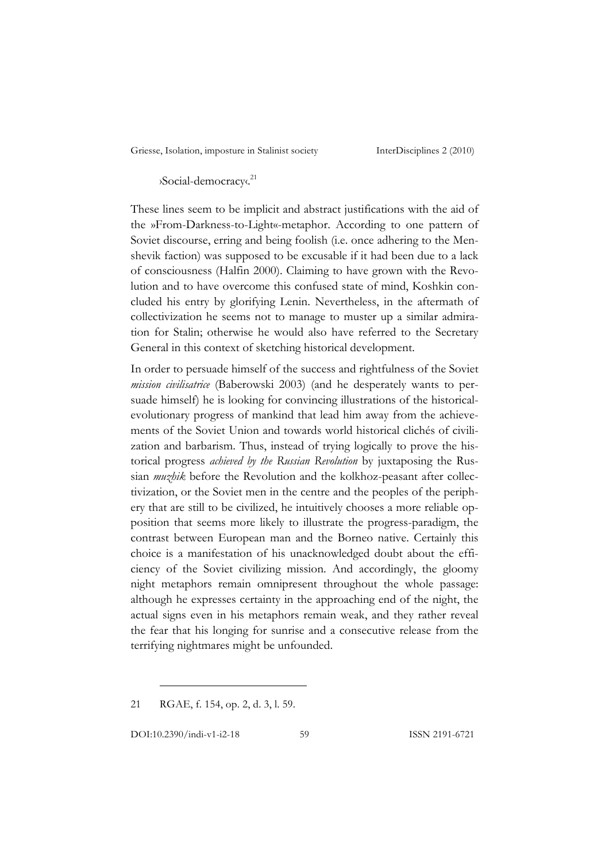›Social-democracy‹. 21

These lines seem to be implicit and abstract justifications with the aid of the »From-Darkness-to-Light«-metaphor. According to one pattern of Soviet discourse, erring and being foolish (i.e. once adhering to the Menshevik faction) was supposed to be excusable if it had been due to a lack of consciousness (Halfin 2000). Claiming to have grown with the Revolution and to have overcome this confused state of mind, Koshkin concluded his entry by glorifying Lenin. Nevertheless, in the aftermath of collectivization he seems not to manage to muster up a similar admiration for Stalin; otherwise he would also have referred to the Secretary General in this context of sketching historical development.

In order to persuade himself of the success and rightfulness of the Soviet *mission civilisatrice* (Baberowski 2003) (and he desperately wants to persuade himself) he is looking for convincing illustrations of the historicalevolutionary progress of mankind that lead him away from the achievements of the Soviet Union and towards world historical clichés of civilization and barbarism. Thus, instead of trying logically to prove the historical progress *achieved by the Russian Revolution* by juxtaposing the Russian *muzhik* before the Revolution and the kolkhoz-peasant after collectivization, or the Soviet men in the centre and the peoples of the periphery that are still to be civilized, he intuitively chooses a more reliable opposition that seems more likely to illustrate the progress-paradigm, the contrast between European man and the Borneo native. Certainly this choice is a manifestation of his unacknowledged doubt about the efficiency of the Soviet civilizing mission. And accordingly, the gloomy night metaphors remain omnipresent throughout the whole passage: although he expresses certainty in the approaching end of the night, the actual signs even in his metaphors remain weak, and they rather reveal the fear that his longing for sunrise and a consecutive release from the terrifying nightmares might be unfounded.

21 RGAE, f. 154, op. 2, d. 3, l. 59.

DOI:10.2390/indi-v1-i2-18 59 ISSN 2191-6721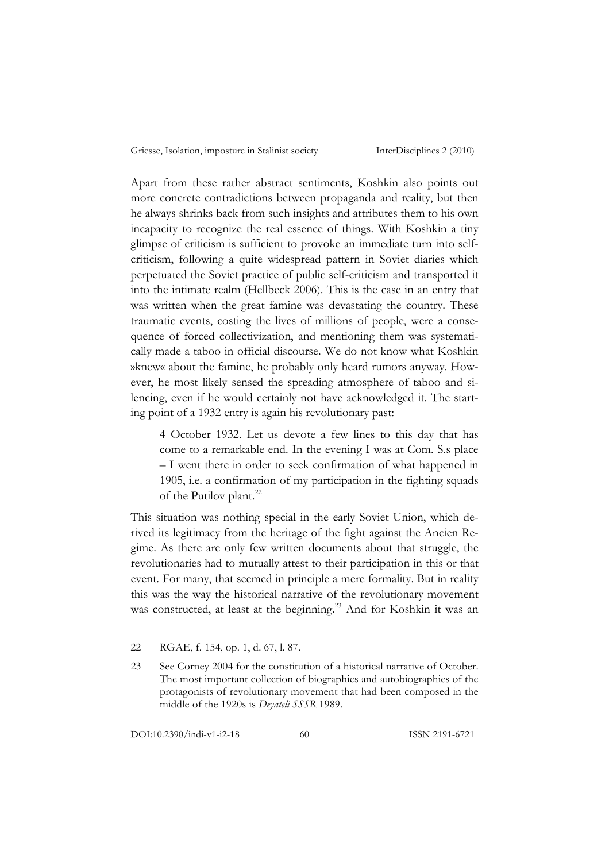Apart from these rather abstract sentiments, Koshkin also points out more concrete contradictions between propaganda and reality, but then he always shrinks back from such insights and attributes them to his own incapacity to recognize the real essence of things. With Koshkin a tiny glimpse of criticism is sufficient to provoke an immediate turn into selfcriticism, following a quite widespread pattern in Soviet diaries which perpetuated the Soviet practice of public self-criticism and transported it into the intimate realm (Hellbeck 2006). This is the case in an entry that was written when the great famine was devastating the country. These traumatic events, costing the lives of millions of people, were a consequence of forced collectivization, and mentioning them was systematically made a taboo in official discourse. We do not know what Koshkin »knew« about the famine, he probably only heard rumors anyway. However, he most likely sensed the spreading atmosphere of taboo and silencing, even if he would certainly not have acknowledged it. The starting point of a 1932 entry is again his revolutionary past:

4 October 1932. Let us devote a few lines to this day that has come to a remarkable end. In the evening I was at Com. S.s place – I went there in order to seek confirmation of what happened in 1905, i.e. a confirmation of my participation in the fighting squads of the Putilov plant.<sup>22</sup>

This situation was nothing special in the early Soviet Union, which derived its legitimacy from the heritage of the fight against the Ancien Regime. As there are only few written documents about that struggle, the revolutionaries had to mutually attest to their participation in this or that event. For many, that seemed in principle a mere formality. But in reality this was the way the historical narrative of the revolutionary movement was constructed, at least at the beginning.<sup>23</sup> And for Koshkin it was an

<sup>22</sup> RGAE, f. 154, op. 1, d. 67, l. 87.

<sup>23</sup> See Corney 2004 for the constitution of a historical narrative of October. The most important collection of biographies and autobiographies of the protagonists of revolutionary movement that had been composed in the middle of the 1920s is *Deyateli SSSR* 1989.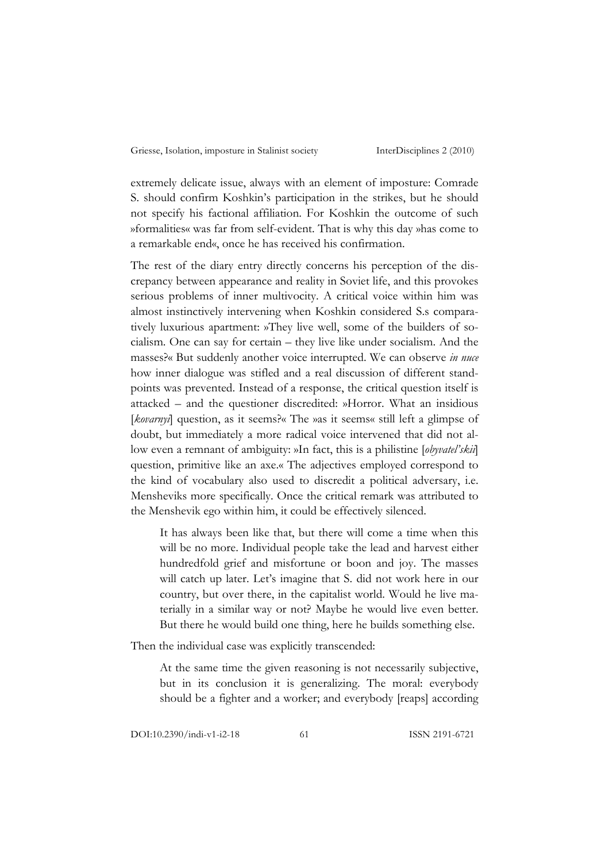extremely delicate issue, always with an element of imposture: Comrade S. should confirm Koshkin's participation in the strikes, but he should not specify his factional affiliation. For Koshkin the outcome of such »formalities« was far from self-evident. That is why this day »has come to a remarkable end«, once he has received his confirmation.

The rest of the diary entry directly concerns his perception of the discrepancy between appearance and reality in Soviet life, and this provokes serious problems of inner multivocity. A critical voice within him was almost instinctively intervening when Koshkin considered S.s comparatively luxurious apartment: »They live well, some of the builders of socialism. One can say for certain – they live like under socialism. And the masses?« But suddenly another voice interrupted. We can observe *in nuce* how inner dialogue was stifled and a real discussion of different standpoints was prevented. Instead of a response, the critical question itself is attacked – and the questioner discredited: »Horror. What an insidious [*kovarnyi*] question, as it seems?« The »as it seems« still left a glimpse of doubt, but immediately a more radical voice intervened that did not allow even a remnant of ambiguity: »In fact, this is a philistine [*obyvatel'skii*] question, primitive like an axe.« The adjectives employed correspond to the kind of vocabulary also used to discredit a political adversary, i.e. Mensheviks more specifically. Once the critical remark was attributed to the Menshevik ego within him, it could be effectively silenced.

It has always been like that, but there will come a time when this will be no more. Individual people take the lead and harvest either hundredfold grief and misfortune or boon and joy. The masses will catch up later. Let's imagine that S. did not work here in our country, but over there, in the capitalist world. Would he live materially in a similar way or not? Maybe he would live even better. But there he would build one thing, here he builds something else.

Then the individual case was explicitly transcended:

At the same time the given reasoning is not necessarily subjective, but in its conclusion it is generalizing. The moral: everybody should be a fighter and a worker; and everybody [reaps] according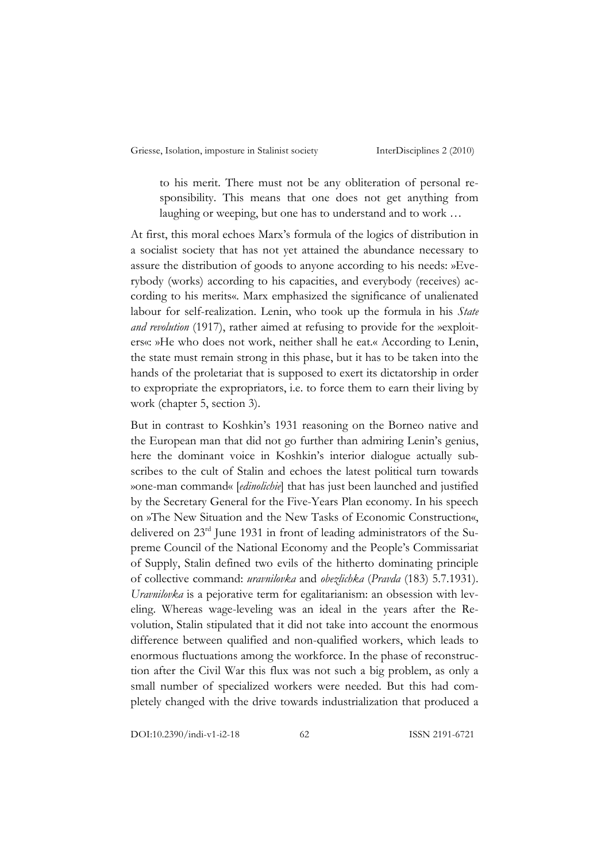to his merit. There must not be any obliteration of personal responsibility. This means that one does not get anything from laughing or weeping, but one has to understand and to work …

At first, this moral echoes Marx's formula of the logics of distribution in a socialist society that has not yet attained the abundance necessary to assure the distribution of goods to anyone according to his needs: »Everybody (works) according to his capacities, and everybody (receives) according to his merits«. Marx emphasized the significance of unalienated labour for self-realization. Lenin, who took up the formula in his *State and revolution* (1917), rather aimed at refusing to provide for the »exploiters«: »He who does not work, neither shall he eat.« According to Lenin, the state must remain strong in this phase, but it has to be taken into the hands of the proletariat that is supposed to exert its dictatorship in order to expropriate the expropriators, i.e. to force them to earn their living by work (chapter 5, section 3).

But in contrast to Koshkin's 1931 reasoning on the Borneo native and the European man that did not go further than admiring Lenin's genius, here the dominant voice in Koshkin's interior dialogue actually subscribes to the cult of Stalin and echoes the latest political turn towards »one-man command« [*edinolichie*] that has just been launched and justified by the Secretary General for the Five-Years Plan economy. In his speech on »The New Situation and the New Tasks of Economic Construction«, delivered on 23rd June 1931 in front of leading administrators of the Supreme Council of the National Economy and the People's Commissariat of Supply, Stalin defined two evils of the hitherto dominating principle of collective command: *uravnilovka* and *obezlichka* (*Pravda* (183) 5.7.1931). *Uravnilovka* is a pejorative term for egalitarianism: an obsession with leveling. Whereas wage-leveling was an ideal in the years after the Revolution, Stalin stipulated that it did not take into account the enormous difference between qualified and non-qualified workers, which leads to enormous fluctuations among the workforce. In the phase of reconstruction after the Civil War this flux was not such a big problem, as only a small number of specialized workers were needed. But this had completely changed with the drive towards industrialization that produced a

DOI:10.2390/indi-v1-i2-18 62 ISSN 2191-6721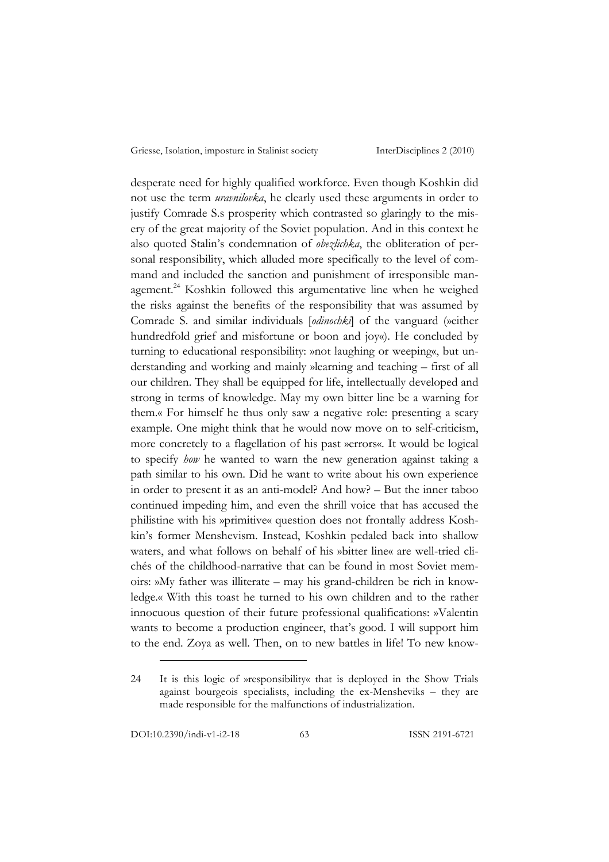desperate need for highly qualified workforce. Even though Koshkin did not use the term *uravnilovka*, he clearly used these arguments in order to justify Comrade S.s prosperity which contrasted so glaringly to the misery of the great majority of the Soviet population. And in this context he also quoted Stalin's condemnation of *obezlichka*, the obliteration of personal responsibility, which alluded more specifically to the level of command and included the sanction and punishment of irresponsible management.<sup>24</sup> Koshkin followed this argumentative line when he weighed the risks against the benefits of the responsibility that was assumed by Comrade S. and similar individuals [*odinochki*] of the vanguard (»either hundredfold grief and misfortune or boon and joy«). He concluded by turning to educational responsibility: »not laughing or weeping«, but understanding and working and mainly »learning and teaching – first of all our children. They shall be equipped for life, intellectually developed and strong in terms of knowledge. May my own bitter line be a warning for them.« For himself he thus only saw a negative role: presenting a scary example. One might think that he would now move on to self-criticism, more concretely to a flagellation of his past »errors«. It would be logical to specify *how* he wanted to warn the new generation against taking a path similar to his own. Did he want to write about his own experience in order to present it as an anti-model? And how? – But the inner taboo continued impeding him, and even the shrill voice that has accused the philistine with his »primitive« question does not frontally address Koshkin's former Menshevism. Instead, Koshkin pedaled back into shallow waters, and what follows on behalf of his »bitter line« are well-tried clichés of the childhood-narrative that can be found in most Soviet memoirs: »My father was illiterate – may his grand-children be rich in knowledge.« With this toast he turned to his own children and to the rather innocuous question of their future professional qualifications: »Valentin wants to become a production engineer, that's good. I will support him to the end. Zoya as well. Then, on to new battles in life! To new know-

<sup>24</sup> It is this logic of »responsibility« that is deployed in the Show Trials against bourgeois specialists, including the ex-Mensheviks – they are made responsible for the malfunctions of industrialization.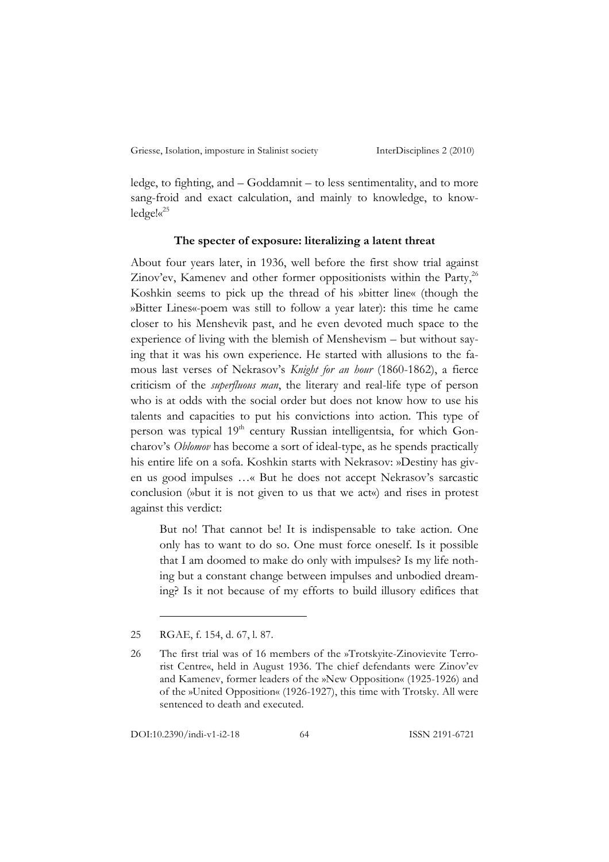ledge, to fighting, and – Goddamnit – to less sentimentality, and to more sang-froid and exact calculation, and mainly to knowledge, to knowledge!« 25

#### **The specter of exposure: literalizing a latent threat**

About four years later, in 1936, well before the first show trial against Zinov'ev, Kamenev and other former oppositionists within the Party,<sup>26</sup> Koshkin seems to pick up the thread of his »bitter line« (though the »Bitter Lines«-poem was still to follow a year later): this time he came closer to his Menshevik past, and he even devoted much space to the experience of living with the blemish of Menshevism – but without saying that it was his own experience. He started with allusions to the famous last verses of Nekrasov's *Knight for an hour* (1860-1862), a fierce criticism of the *superfluous man*, the literary and real-life type of person who is at odds with the social order but does not know how to use his talents and capacities to put his convictions into action. This type of person was typical 19<sup>th</sup> century Russian intelligentsia, for which Goncharov's *Oblomov* has become a sort of ideal-type, as he spends practically his entire life on a sofa. Koshkin starts with Nekrasov: »Destiny has given us good impulses …« But he does not accept Nekrasov's sarcastic conclusion (»but it is not given to us that we act«) and rises in protest against this verdict:

But no! That cannot be! It is indispensable to take action. One only has to want to do so. One must force oneself. Is it possible that I am doomed to make do only with impulses? Is my life nothing but a constant change between impulses and unbodied dreaming? Is it not because of my efforts to build illusory edifices that

<sup>25</sup> RGAE, f. 154, d. 67, l. 87.

<sup>26</sup> The first trial was of 16 members of the »Trotskyite-Zinovievite Terrorist Centre«, held in August 1936. The chief defendants were Zinov'ev and Kamenev, former leaders of the »New Opposition« (1925-1926) and of the »United Opposition« (1926-1927), this time with Trotsky. All were sentenced to death and executed.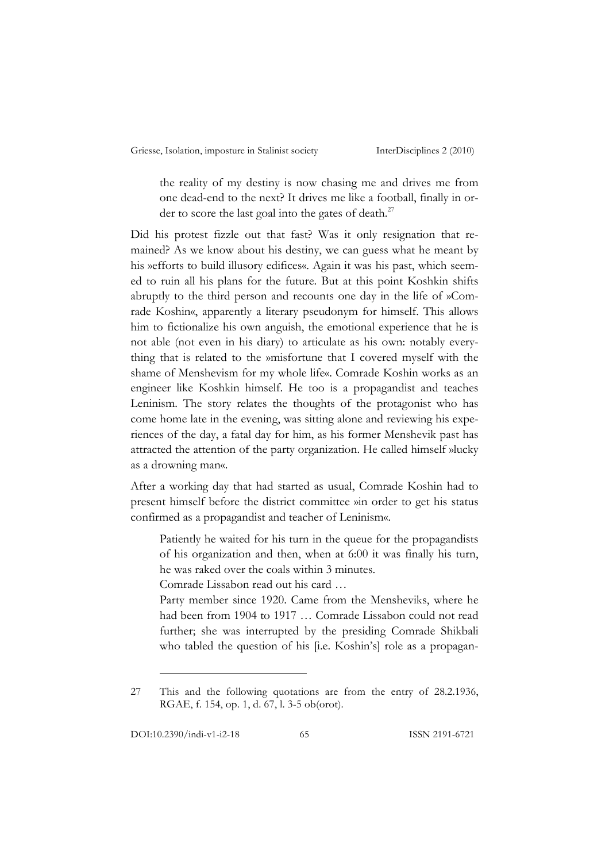the reality of my destiny is now chasing me and drives me from one dead-end to the next? It drives me like a football, finally in order to score the last goal into the gates of death.<sup>27</sup>

Did his protest fizzle out that fast? Was it only resignation that remained? As we know about his destiny, we can guess what he meant by his »efforts to build illusory edifices«. Again it was his past, which seemed to ruin all his plans for the future. But at this point Koshkin shifts abruptly to the third person and recounts one day in the life of »Comrade Koshin«, apparently a literary pseudonym for himself. This allows him to fictionalize his own anguish, the emotional experience that he is not able (not even in his diary) to articulate as his own: notably everything that is related to the »misfortune that I covered myself with the shame of Menshevism for my whole life«. Comrade Koshin works as an engineer like Koshkin himself. He too is a propagandist and teaches Leninism. The story relates the thoughts of the protagonist who has come home late in the evening, was sitting alone and reviewing his experiences of the day, a fatal day for him, as his former Menshevik past has attracted the attention of the party organization. He called himself »lucky as a drowning man«.

After a working day that had started as usual, Comrade Koshin had to present himself before the district committee »in order to get his status confirmed as a propagandist and teacher of Leninism«.

Patiently he waited for his turn in the queue for the propagandists of his organization and then, when at 6:00 it was finally his turn, he was raked over the coals within 3 minutes.

Comrade Lissabon read out his card …

Party member since 1920. Came from the Mensheviks, where he had been from 1904 to 1917 … Comrade Lissabon could not read further; she was interrupted by the presiding Comrade Shikbali who tabled the question of his [i.e. Koshin's] role as a propagan-

<sup>27</sup> This and the following quotations are from the entry of 28.2.1936, RGAE, f. 154, op. 1, d. 67, l. 3-5 ob(orot).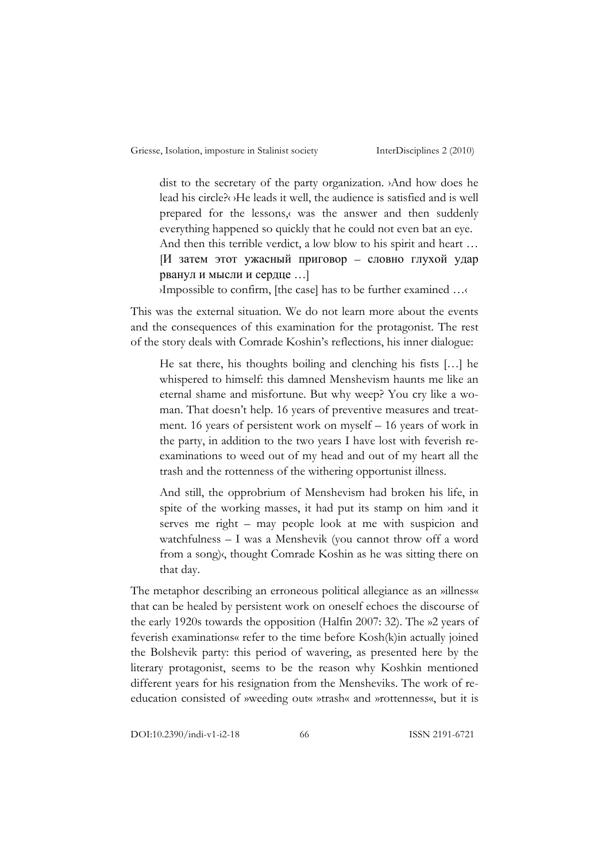dist to the secretary of the party organization. ›And how does he lead his circle?‹ ›He leads it well, the audience is satisfied and is well prepared for the lessons,‹ was the answer and then suddenly everything happened so quickly that he could not even bat an eye. And then this terrible verdict, a low blow to his spirit and heart … [И затем этот ужасный приговор – словно глухой удар рванул и мысли и сердце …] ›Impossible to confirm, [the case] has to be further examined …‹

This was the external situation. We do not learn more about the events and the consequences of this examination for the protagonist. The rest of the story deals with Comrade Koshin's reflections, his inner dialogue:

He sat there, his thoughts boiling and clenching his fists […] he whispered to himself: this damned Menshevism haunts me like an eternal shame and misfortune. But why weep? You cry like a woman. That doesn't help. 16 years of preventive measures and treatment. 16 years of persistent work on myself – 16 years of work in the party, in addition to the two years I have lost with feverish reexaminations to weed out of my head and out of my heart all the trash and the rottenness of the withering opportunist illness.

And still, the opprobrium of Menshevism had broken his life, in spite of the working masses, it had put its stamp on him and it serves me right – may people look at me with suspicion and watchfulness – I was a Menshevik (you cannot throw off a word from a song)‹, thought Comrade Koshin as he was sitting there on that day.

The metaphor describing an erroneous political allegiance as an »illness« that can be healed by persistent work on oneself echoes the discourse of the early 1920s towards the opposition (Halfin 2007: 32). The »2 years of feverish examinations« refer to the time before Kosh(k)in actually joined the Bolshevik party: this period of wavering, as presented here by the literary protagonist, seems to be the reason why Koshkin mentioned different years for his resignation from the Mensheviks. The work of reeducation consisted of »weeding out« »trash« and »rottenness«, but it is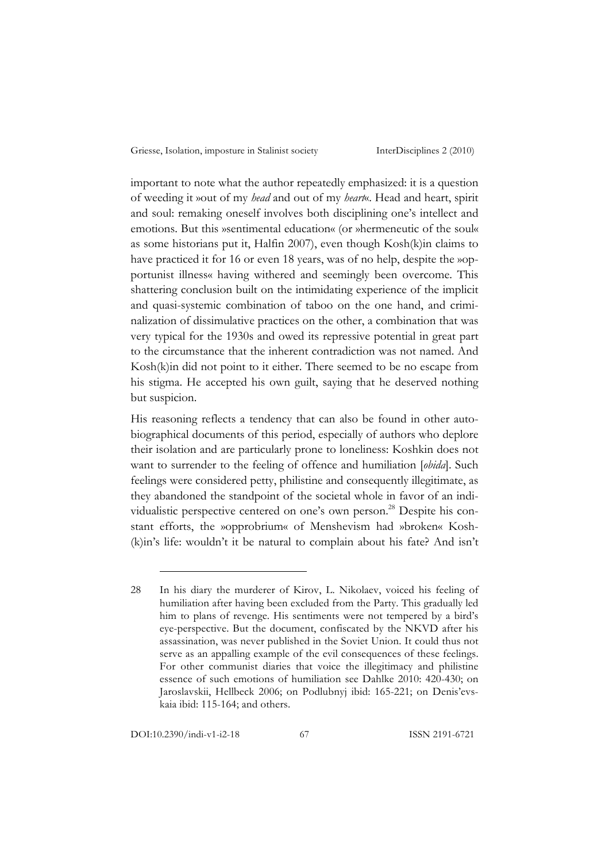important to note what the author repeatedly emphasized: it is a question of weeding it »out of my *head* and out of my *heart*«. Head and heart, spirit and soul: remaking oneself involves both disciplining one's intellect and emotions. But this »sentimental education« (or »hermeneutic of the soul« as some historians put it, Halfin 2007), even though Kosh(k)in claims to have practiced it for 16 or even 18 years, was of no help, despite the »opportunist illness« having withered and seemingly been overcome. This shattering conclusion built on the intimidating experience of the implicit and quasi-systemic combination of taboo on the one hand, and criminalization of dissimulative practices on the other, a combination that was very typical for the 1930s and owed its repressive potential in great part to the circumstance that the inherent contradiction was not named. And Kosh(k)in did not point to it either. There seemed to be no escape from his stigma. He accepted his own guilt, saying that he deserved nothing but suspicion.

His reasoning reflects a tendency that can also be found in other autobiographical documents of this period, especially of authors who deplore their isolation and are particularly prone to loneliness: Koshkin does not want to surrender to the feeling of offence and humiliation [*obida*]. Such feelings were considered petty, philistine and consequently illegitimate, as they abandoned the standpoint of the societal whole in favor of an individualistic perspective centered on one's own person.<sup>28</sup> Despite his constant efforts, the »opprobrium« of Menshevism had »broken« Kosh- (k)in's life: wouldn't it be natural to complain about his fate? And isn't

<sup>28</sup> In his diary the murderer of Kirov, L. Nikolaev, voiced his feeling of humiliation after having been excluded from the Party. This gradually led him to plans of revenge. His sentiments were not tempered by a bird's eye-perspective. But the document, confiscated by the NKVD after his assassination, was never published in the Soviet Union. It could thus not serve as an appalling example of the evil consequences of these feelings. For other communist diaries that voice the illegitimacy and philistine essence of such emotions of humiliation see Dahlke 2010: 420-430; on Jaroslavskii, Hellbeck 2006; on Podlubnyj ibid: 165-221; on Denis'evskaia ibid: 115-164; and others.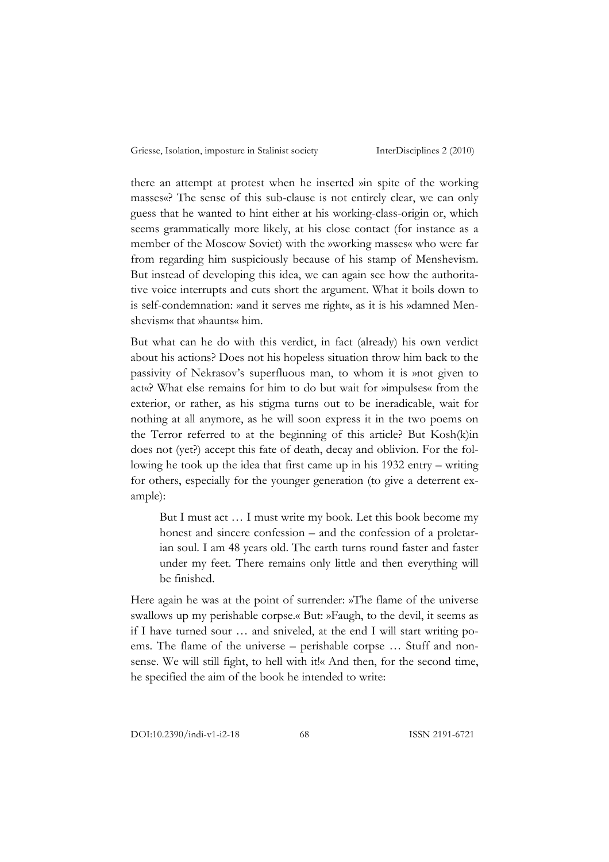there an attempt at protest when he inserted »in spite of the working masses«? The sense of this sub-clause is not entirely clear, we can only guess that he wanted to hint either at his working-class-origin or, which seems grammatically more likely, at his close contact (for instance as a member of the Moscow Soviet) with the »working masses« who were far from regarding him suspiciously because of his stamp of Menshevism. But instead of developing this idea, we can again see how the authoritative voice interrupts and cuts short the argument. What it boils down to is self-condemnation: »and it serves me right«, as it is his »damned Menshevism« that »haunts« him.

But what can he do with this verdict, in fact (already) his own verdict about his actions? Does not his hopeless situation throw him back to the passivity of Nekrasov's superfluous man, to whom it is »not given to act«? What else remains for him to do but wait for »impulses« from the exterior, or rather, as his stigma turns out to be ineradicable, wait for nothing at all anymore, as he will soon express it in the two poems on the Terror referred to at the beginning of this article? But Kosh(k)in does not (yet?) accept this fate of death, decay and oblivion. For the following he took up the idea that first came up in his 1932 entry – writing for others, especially for the younger generation (to give a deterrent example):

But I must act … I must write my book. Let this book become my honest and sincere confession – and the confession of a proletarian soul. I am 48 years old. The earth turns round faster and faster under my feet. There remains only little and then everything will be finished.

Here again he was at the point of surrender: »The flame of the universe swallows up my perishable corpse.« But: »Faugh, to the devil, it seems as if I have turned sour … and sniveled, at the end I will start writing poems. The flame of the universe – perishable corpse … Stuff and nonsense. We will still fight, to hell with it!« And then, for the second time, he specified the aim of the book he intended to write: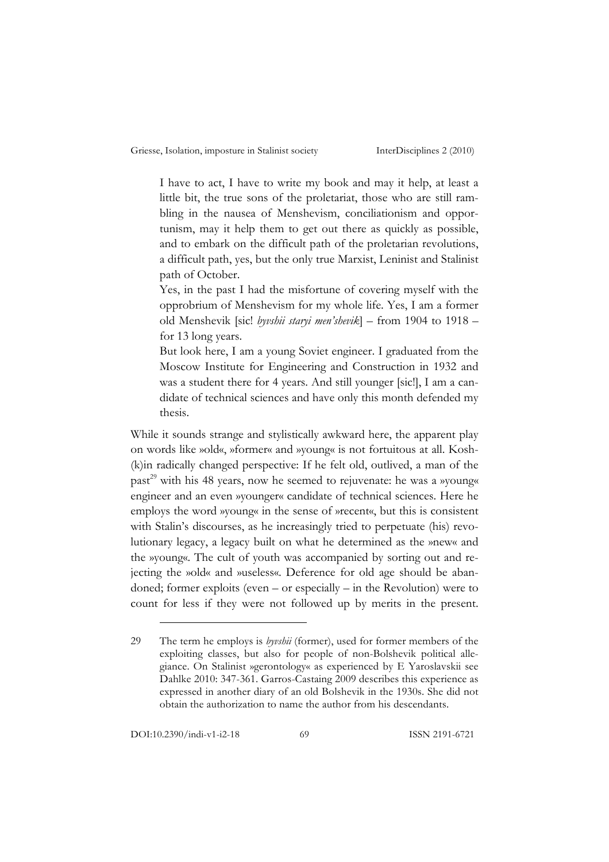I have to act, I have to write my book and may it help, at least a little bit, the true sons of the proletariat, those who are still rambling in the nausea of Menshevism, conciliationism and opportunism, may it help them to get out there as quickly as possible, and to embark on the difficult path of the proletarian revolutions, a difficult path, yes, but the only true Marxist, Leninist and Stalinist path of October.

Yes, in the past I had the misfortune of covering myself with the opprobrium of Menshevism for my whole life. Yes, I am a former old Menshevik [sic! *byvshii staryi men'shevik*] – from 1904 to 1918 – for 13 long years.

But look here, I am a young Soviet engineer. I graduated from the Moscow Institute for Engineering and Construction in 1932 and was a student there for 4 years. And still younger [sic!], I am a candidate of technical sciences and have only this month defended my thesis.

While it sounds strange and stylistically awkward here, the apparent play on words like »old«, »former« and »young« is not fortuitous at all. Kosh- (k)in radically changed perspective: If he felt old, outlived, a man of the past<sup>29</sup> with his 48 years, now he seemed to rejuvenate: he was a *»young«* engineer and an even »younger« candidate of technical sciences. Here he employs the word »young« in the sense of »recent«, but this is consistent with Stalin's discourses, as he increasingly tried to perpetuate (his) revolutionary legacy, a legacy built on what he determined as the »new« and the »young«. The cult of youth was accompanied by sorting out and rejecting the »old« and »useless«. Deference for old age should be abandoned; former exploits (even – or especially – in the Revolution) were to count for less if they were not followed up by merits in the present.

<sup>29</sup> The term he employs is *byvshii* (former), used for former members of the exploiting classes, but also for people of non-Bolshevik political allegiance. On Stalinist »gerontology« as experienced by E Yaroslavskii see Dahlke 2010: 347-361. Garros-Castaing 2009 describes this experience as expressed in another diary of an old Bolshevik in the 1930s. She did not obtain the authorization to name the author from his descendants.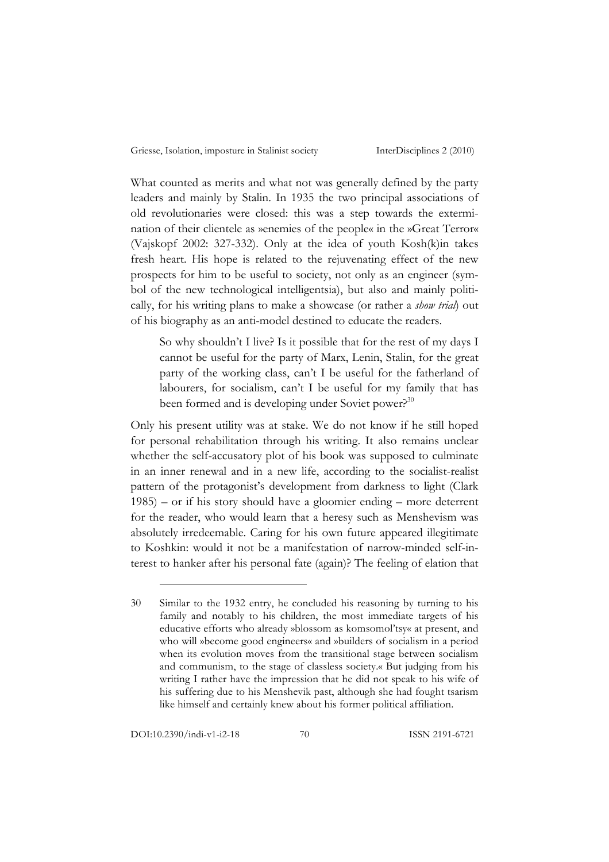What counted as merits and what not was generally defined by the party leaders and mainly by Stalin. In 1935 the two principal associations of old revolutionaries were closed: this was a step towards the extermination of their clientele as »enemies of the people« in the »Great Terror« (Vajskopf 2002: 327-332). Only at the idea of youth Kosh(k)in takes fresh heart. His hope is related to the rejuvenating effect of the new prospects for him to be useful to society, not only as an engineer (symbol of the new technological intelligentsia), but also and mainly politically, for his writing plans to make a showcase (or rather a *show trial*) out of his biography as an anti-model destined to educate the readers.

So why shouldn't I live? Is it possible that for the rest of my days I cannot be useful for the party of Marx, Lenin, Stalin, for the great party of the working class, can't I be useful for the fatherland of labourers, for socialism, can't I be useful for my family that has been formed and is developing under Soviet power?<sup>30</sup>

Only his present utility was at stake. We do not know if he still hoped for personal rehabilitation through his writing. It also remains unclear whether the self-accusatory plot of his book was supposed to culminate in an inner renewal and in a new life, according to the socialist-realist pattern of the protagonist's development from darkness to light (Clark 1985) – or if his story should have a gloomier ending – more deterrent for the reader, who would learn that a heresy such as Menshevism was absolutely irredeemable. Caring for his own future appeared illegitimate to Koshkin: would it not be a manifestation of narrow-minded self-interest to hanker after his personal fate (again)? The feeling of elation that

<sup>30</sup> Similar to the 1932 entry, he concluded his reasoning by turning to his family and notably to his children, the most immediate targets of his educative efforts who already »blossom as komsomol'tsy« at present, and who will »become good engineers« and »builders of socialism in a period when its evolution moves from the transitional stage between socialism and communism, to the stage of classless society.« But judging from his writing I rather have the impression that he did not speak to his wife of his suffering due to his Menshevik past, although she had fought tsarism like himself and certainly knew about his former political affiliation.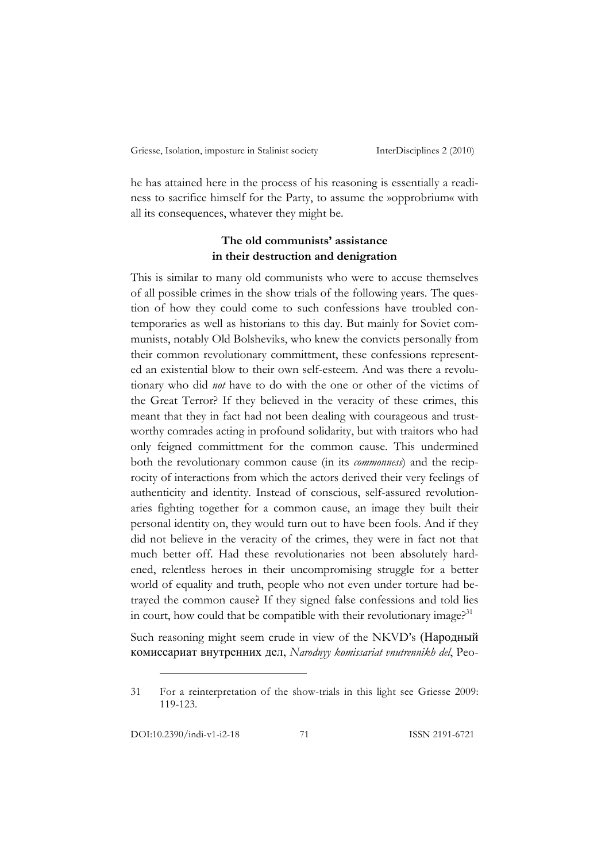he has attained here in the process of his reasoning is essentially a readiness to sacrifice himself for the Party, to assume the »opprobrium« with all its consequences, whatever they might be.

## **The old communists' assistance in their destruction and denigration**

This is similar to many old communists who were to accuse themselves of all possible crimes in the show trials of the following years. The question of how they could come to such confessions have troubled contemporaries as well as historians to this day. But mainly for Soviet communists, notably Old Bolsheviks, who knew the convicts personally from their common revolutionary committment, these confessions represented an existential blow to their own self-esteem. And was there a revolutionary who did *not* have to do with the one or other of the victims of the Great Terror? If they believed in the veracity of these crimes, this meant that they in fact had not been dealing with courageous and trustworthy comrades acting in profound solidarity, but with traitors who had only feigned committment for the common cause. This undermined both the revolutionary common cause (in its *commonness*) and the reciprocity of interactions from which the actors derived their very feelings of authenticity and identity. Instead of conscious, self-assured revolutionaries fighting together for a common cause, an image they built their personal identity on, they would turn out to have been fools. And if they did not believe in the veracity of the crimes, they were in fact not that much better off. Had these revolutionaries not been absolutely hardened, relentless heroes in their uncompromising struggle for a better world of equality and truth, people who not even under torture had betrayed the common cause? If they signed false confessions and told lies in court, how could that be compatible with their revolutionary image?<sup>31</sup>

Such reasoning might seem crude in view of the NKVD's (Народный комиссариат внутренних дел, *Narodnyy komissariat vnutrennikh del*, Peo-

<sup>31</sup> For a reinterpretation of the show-trials in this light see Griesse 2009: 119-123.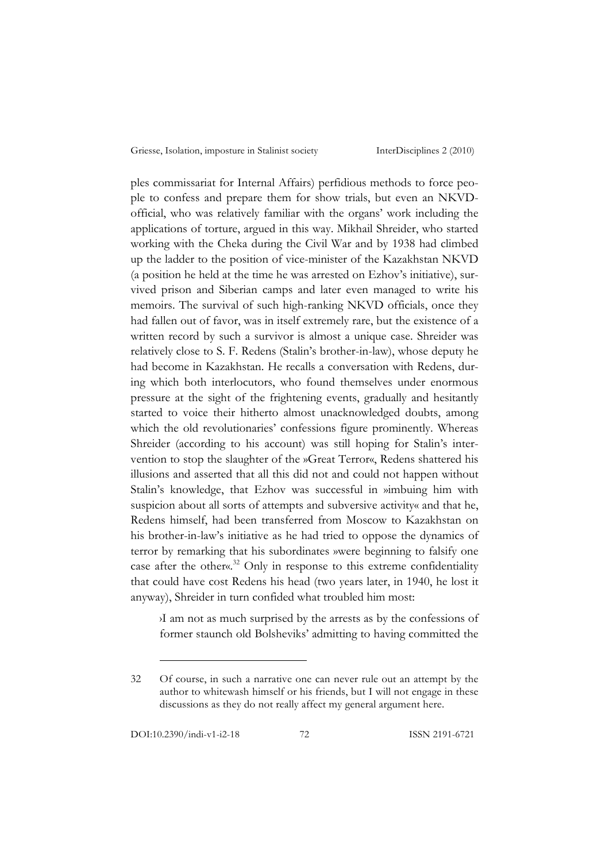ples commissariat for Internal Affairs) perfidious methods to force people to confess and prepare them for show trials, but even an NKVDofficial, who was relatively familiar with the organs' work including the applications of torture, argued in this way. Mikhail Shreider, who started working with the Cheka during the Civil War and by 1938 had climbed up the ladder to the position of vice-minister of the Kazakhstan NKVD (a position he held at the time he was arrested on Ezhov's initiative), survived prison and Siberian camps and later even managed to write his memoirs. The survival of such high-ranking NKVD officials, once they had fallen out of favor, was in itself extremely rare, but the existence of a written record by such a survivor is almost a unique case. Shreider was relatively close to S. F. Redens (Stalin's brother-in-law), whose deputy he had become in Kazakhstan. He recalls a conversation with Redens, during which both interlocutors, who found themselves under enormous pressure at the sight of the frightening events, gradually and hesitantly started to voice their hitherto almost unacknowledged doubts, among which the old revolutionaries' confessions figure prominently. Whereas Shreider (according to his account) was still hoping for Stalin's intervention to stop the slaughter of the »Great Terror«, Redens shattered his illusions and asserted that all this did not and could not happen without Stalin's knowledge, that Ezhov was successful in »imbuing him with suspicion about all sorts of attempts and subversive activity« and that he, Redens himself, had been transferred from Moscow to Kazakhstan on his brother-in-law's initiative as he had tried to oppose the dynamics of terror by remarking that his subordinates »were beginning to falsify one case after the other«.<sup>32</sup> Only in response to this extreme confidentiality that could have cost Redens his head (two years later, in 1940, he lost it anyway), Shreider in turn confided what troubled him most:

›I am not as much surprised by the arrests as by the confessions of former staunch old Bolsheviks' admitting to having committed the

<sup>32</sup> Of course, in such a narrative one can never rule out an attempt by the author to whitewash himself or his friends, but I will not engage in these discussions as they do not really affect my general argument here.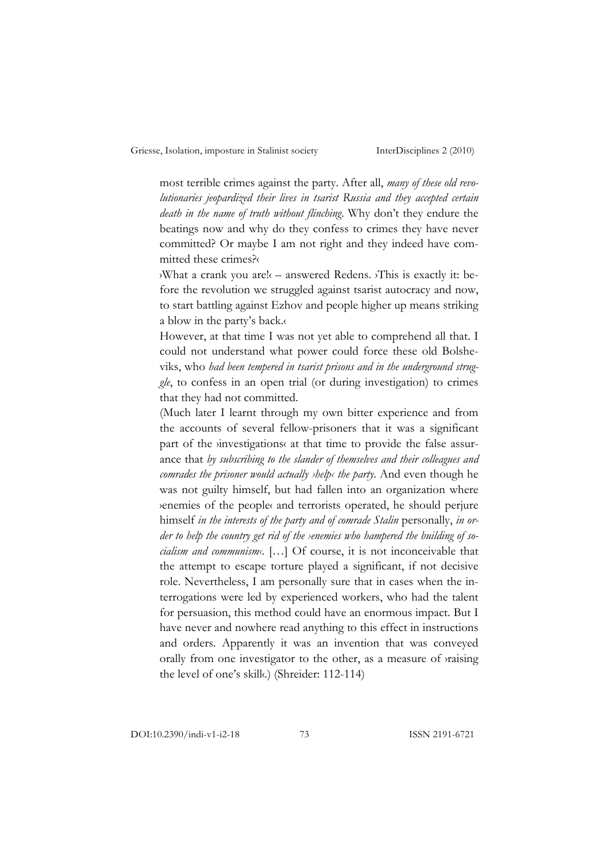most terrible crimes against the party. After all, *many of these old revolutionaries jeopardized their lives in tsarist Russia and they accepted certain death in the name of truth without flinching*. Why don't they endure the beatings now and why do they confess to crimes they have never committed? Or maybe I am not right and they indeed have committed these crimes?‹

›What a crank you are!‹ – answered Redens. ›This is exactly it: before the revolution we struggled against tsarist autocracy and now, to start battling against Ezhov and people higher up means striking a blow in the party's back.‹

However, at that time I was not yet able to comprehend all that. I could not understand what power could force these old Bolsheviks, who *had been tempered in tsarist prisons and in the underground struggle*, to confess in an open trial (or during investigation) to crimes that they had not committed.

(Much later I learnt through my own bitter experience and from the accounts of several fellow-prisoners that it was a significant part of the *investigations* at that time to provide the false assurance that *by subscribing to the slander of themselves and their colleagues and comrades the prisoner would actually ›help‹ the party*. And even though he was not guilty himself, but had fallen into an organization where ›enemies of the people‹ and terrorists operated, he should perjure himself *in the interests of the party and of comrade Stalin* personally, *in order to help the country get rid of the ›enemies who hampered the building of socialism and communism‹*. […] Of course, it is not inconceivable that the attempt to escape torture played a significant, if not decisive role. Nevertheless, I am personally sure that in cases when the interrogations were led by experienced workers, who had the talent for persuasion, this method could have an enormous impact. But I have never and nowhere read anything to this effect in instructions and orders. Apparently it was an invention that was conveyed orally from one investigator to the other, as a measure of ›raising the level of one's skill‹.) (Shreider: 112-114)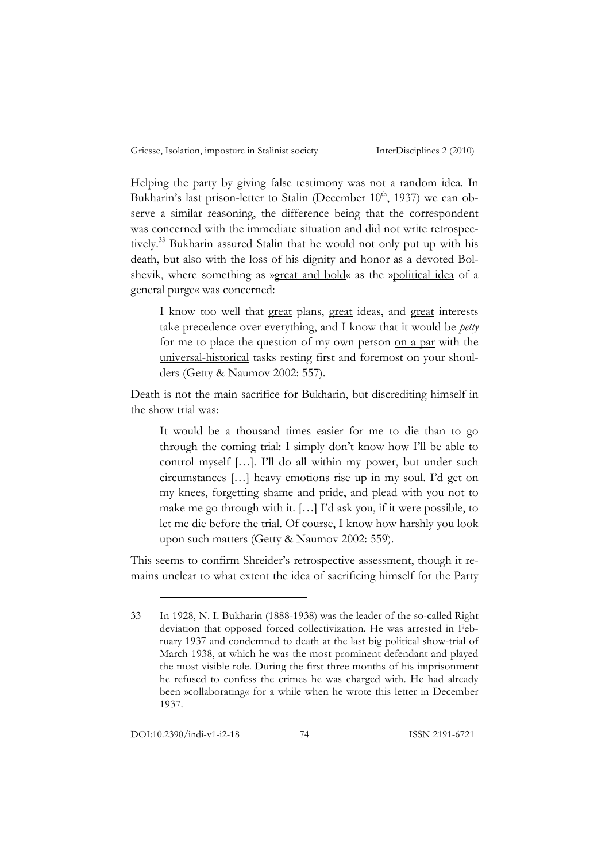Helping the party by giving false testimony was not a random idea. In Bukharin's last prison-letter to Stalin (December  $10^{th}$ , 1937) we can observe a similar reasoning, the difference being that the correspondent was concerned with the immediate situation and did not write retrospectively.33 Bukharin assured Stalin that he would not only put up with his death, but also with the loss of his dignity and honor as a devoted Bolshevik, where something as »great and bold« as the »political idea of a general purge« was concerned:

I know too well that great plans, great ideas, and great interests take precedence over everything, and I know that it would be *petty* for me to place the question of my own person on a par with the universal-historical tasks resting first and foremost on your shoulders (Getty & Naumov 2002: 557).

Death is not the main sacrifice for Bukharin, but discrediting himself in the show trial was:

It would be a thousand times easier for me to die than to go through the coming trial: I simply don't know how I'll be able to control myself […]. I'll do all within my power, but under such circumstances […] heavy emotions rise up in my soul. I'd get on my knees, forgetting shame and pride, and plead with you not to make me go through with it. […] I'd ask you, if it were possible, to let me die before the trial. Of course, I know how harshly you look upon such matters (Getty & Naumov 2002: 559).

This seems to confirm Shreider's retrospective assessment, though it remains unclear to what extent the idea of sacrificing himself for the Party

<sup>33</sup> In 1928, N. I. Bukharin (1888-1938) was the leader of the so-called Right deviation that opposed forced collectivization. He was arrested in February 1937 and condemned to death at the last big political show-trial of March 1938, at which he was the most prominent defendant and played the most visible role. During the first three months of his imprisonment he refused to confess the crimes he was charged with. He had already been »collaborating« for a while when he wrote this letter in December 1937.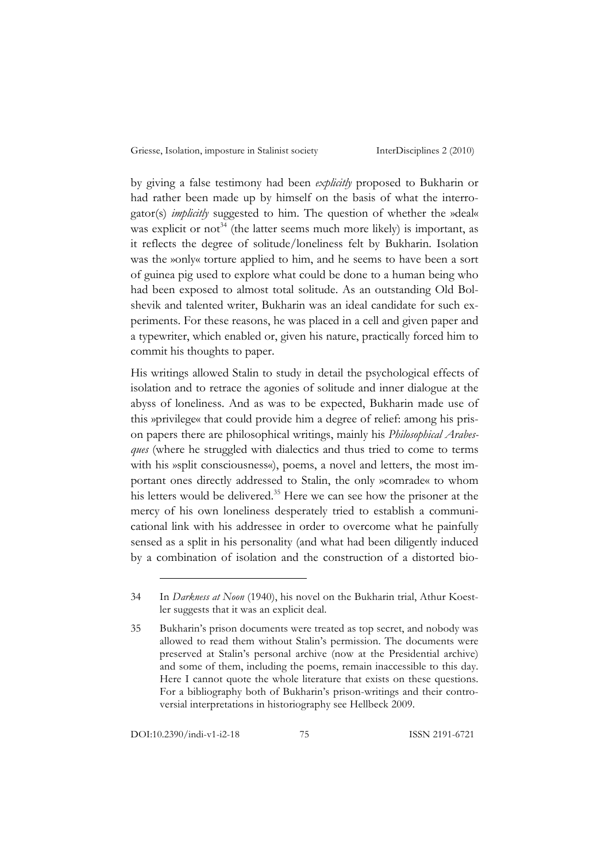by giving a false testimony had been *explicitly* proposed to Bukharin or had rather been made up by himself on the basis of what the interrogator(s) *implicitly* suggested to him. The question of whether the »deal« was explicit or not<sup>34</sup> (the latter seems much more likely) is important, as it reflects the degree of solitude/loneliness felt by Bukharin. Isolation was the »only« torture applied to him, and he seems to have been a sort of guinea pig used to explore what could be done to a human being who had been exposed to almost total solitude. As an outstanding Old Bolshevik and talented writer, Bukharin was an ideal candidate for such experiments. For these reasons, he was placed in a cell and given paper and a typewriter, which enabled or, given his nature, practically forced him to commit his thoughts to paper.

His writings allowed Stalin to study in detail the psychological effects of isolation and to retrace the agonies of solitude and inner dialogue at the abyss of loneliness. And as was to be expected, Bukharin made use of this »privilege« that could provide him a degree of relief: among his prison papers there are philosophical writings, mainly his *Philosophical Arabesques* (where he struggled with dialectics and thus tried to come to terms with his »split consciousness«), poems, a novel and letters, the most important ones directly addressed to Stalin, the only »comrade« to whom his letters would be delivered.<sup>35</sup> Here we can see how the prisoner at the mercy of his own loneliness desperately tried to establish a communicational link with his addressee in order to overcome what he painfully sensed as a split in his personality (and what had been diligently induced by a combination of isolation and the construction of a distorted bio-

<sup>34</sup> In *Darkness at Noon* (1940), his novel on the Bukharin trial, Athur Koestler suggests that it was an explicit deal.

<sup>35</sup> Bukharin's prison documents were treated as top secret, and nobody was allowed to read them without Stalin's permission. The documents were preserved at Stalin's personal archive (now at the Presidential archive) and some of them, including the poems, remain inaccessible to this day. Here I cannot quote the whole literature that exists on these questions. For a bibliography both of Bukharin's prison-writings and their controversial interpretations in historiography see Hellbeck 2009.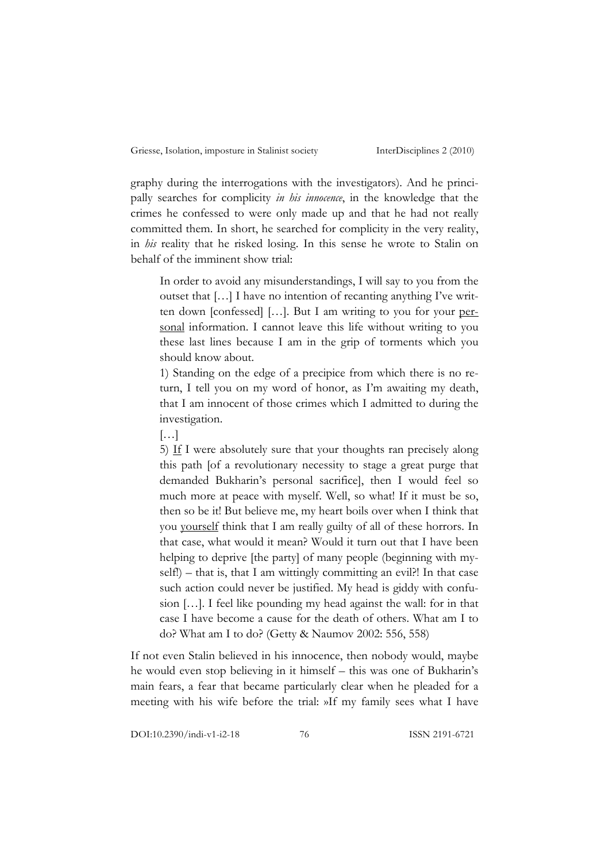graphy during the interrogations with the investigators). And he principally searches for complicity *in his innocence*, in the knowledge that the crimes he confessed to were only made up and that he had not really committed them. In short, he searched for complicity in the very reality, in *his* reality that he risked losing. In this sense he wrote to Stalin on behalf of the imminent show trial:

In order to avoid any misunderstandings, I will say to you from the outset that […] I have no intention of recanting anything I've written down [confessed] […]. But I am writing to you for your personal information. I cannot leave this life without writing to you these last lines because I am in the grip of torments which you should know about.

1) Standing on the edge of a precipice from which there is no return, I tell you on my word of honor, as I'm awaiting my death, that I am innocent of those crimes which I admitted to during the investigation.

[…]

5) If I were absolutely sure that your thoughts ran precisely along this path [of a revolutionary necessity to stage a great purge that demanded Bukharin's personal sacrifice], then I would feel so much more at peace with myself. Well, so what! If it must be so, then so be it! But believe me, my heart boils over when I think that you yourself think that I am really guilty of all of these horrors. In that case, what would it mean? Would it turn out that I have been helping to deprive [the party] of many people (beginning with myself!) – that is, that I am wittingly committing an evil?! In that case such action could never be justified. My head is giddy with confusion […]. I feel like pounding my head against the wall: for in that case I have become a cause for the death of others. What am I to do? What am I to do? (Getty & Naumov 2002: 556, 558)

If not even Stalin believed in his innocence, then nobody would, maybe he would even stop believing in it himself – this was one of Bukharin's main fears, a fear that became particularly clear when he pleaded for a meeting with his wife before the trial: »If my family sees what I have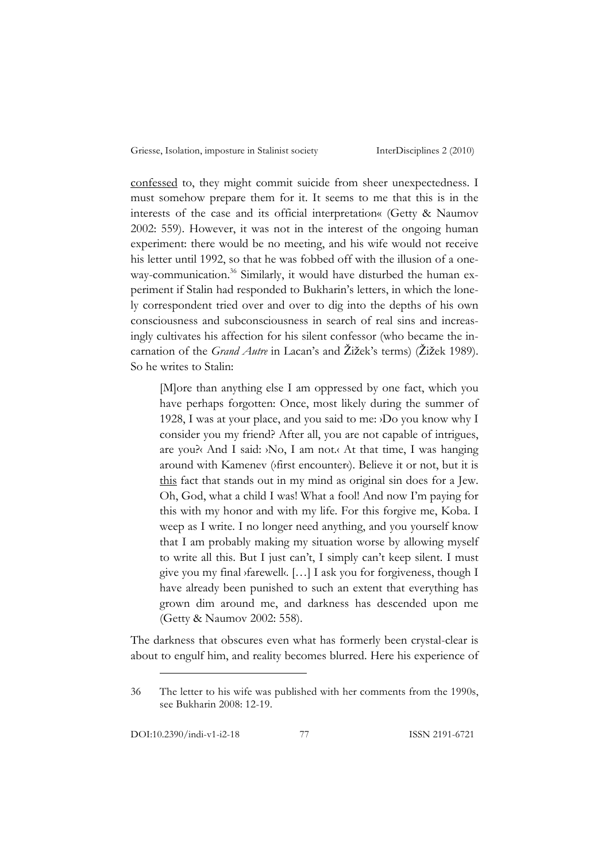confessed to, they might commit suicide from sheer unexpectedness. I must somehow prepare them for it. It seems to me that this is in the interests of the case and its official interpretation« (Getty & Naumov 2002: 559). However, it was not in the interest of the ongoing human experiment: there would be no meeting, and his wife would not receive his letter until 1992, so that he was fobbed off with the illusion of a oneway-communication.<sup>36</sup> Similarly, it would have disturbed the human experiment if Stalin had responded to Bukharin's letters, in which the lonely correspondent tried over and over to dig into the depths of his own consciousness and subconsciousness in search of real sins and increasingly cultivates his affection for his silent confessor (who became the incarnation of the *Grand Autre* in Lacan's and Žižek's terms) (Žižek 1989). So he writes to Stalin:

[M]ore than anything else I am oppressed by one fact, which you have perhaps forgotten: Once, most likely during the summer of 1928, I was at your place, and you said to me: ›Do you know why I consider you my friend? After all, you are not capable of intrigues, are you?‹ And I said: ›No, I am not.‹ At that time, I was hanging around with Kamenev (*stirst encounter*). Believe it or not, but it is this fact that stands out in my mind as original sin does for a Jew. Oh, God, what a child I was! What a fool! And now I'm paying for this with my honor and with my life. For this forgive me, Koba. I weep as I write. I no longer need anything, and you yourself know that I am probably making my situation worse by allowing myself to write all this. But I just can't, I simply can't keep silent. I must give you my final ›farewell‹. […] I ask you for forgiveness, though I have already been punished to such an extent that everything has grown dim around me, and darkness has descended upon me (Getty & Naumov 2002: 558).

The darkness that obscures even what has formerly been crystal-clear is about to engulf him, and reality becomes blurred. Here his experience of

<sup>36</sup> The letter to his wife was published with her comments from the 1990s, see Bukharin 2008: 12-19.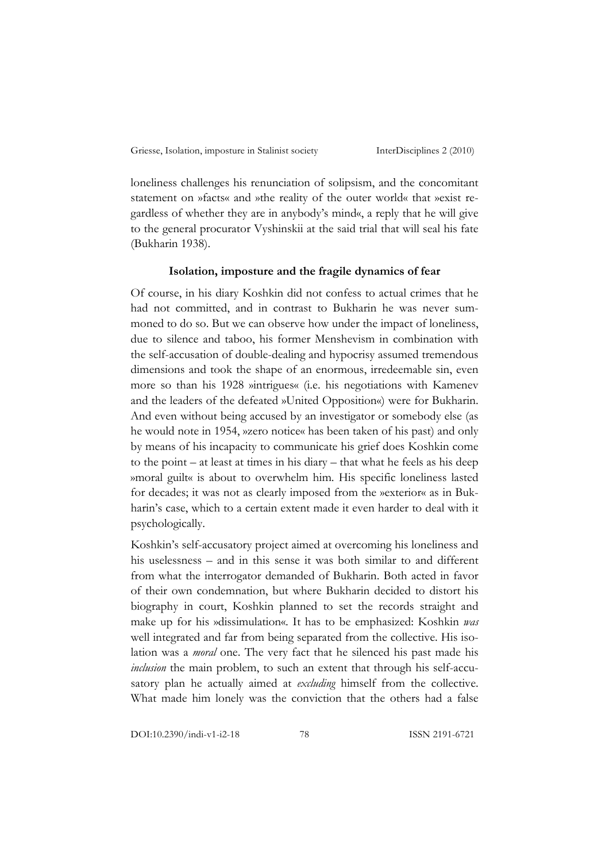loneliness challenges his renunciation of solipsism, and the concomitant statement on »facts« and »the reality of the outer world« that »exist regardless of whether they are in anybody's mind«, a reply that he will give to the general procurator Vyshinskii at the said trial that will seal his fate (Bukharin 1938).

## **Isolation, imposture and the fragile dynamics of fear**

Of course, in his diary Koshkin did not confess to actual crimes that he had not committed, and in contrast to Bukharin he was never summoned to do so. But we can observe how under the impact of loneliness, due to silence and taboo, his former Menshevism in combination with the self-accusation of double-dealing and hypocrisy assumed tremendous dimensions and took the shape of an enormous, irredeemable sin, even more so than his 1928 »intrigues« (i.e. his negotiations with Kamenev and the leaders of the defeated »United Opposition«) were for Bukharin. And even without being accused by an investigator or somebody else (as he would note in 1954, »zero notice« has been taken of his past) and only by means of his incapacity to communicate his grief does Koshkin come to the point – at least at times in his diary – that what he feels as his deep »moral guilt« is about to overwhelm him. His specific loneliness lasted for decades; it was not as clearly imposed from the »exterior« as in Bukharin's case, which to a certain extent made it even harder to deal with it psychologically.

Koshkin's self-accusatory project aimed at overcoming his loneliness and his uselessness – and in this sense it was both similar to and different from what the interrogator demanded of Bukharin. Both acted in favor of their own condemnation, but where Bukharin decided to distort his biography in court, Koshkin planned to set the records straight and make up for his »dissimulation«. It has to be emphasized: Koshkin *was* well integrated and far from being separated from the collective. His isolation was a *moral* one. The very fact that he silenced his past made his *inclusion* the main problem, to such an extent that through his self-accusatory plan he actually aimed at *excluding* himself from the collective. What made him lonely was the conviction that the others had a false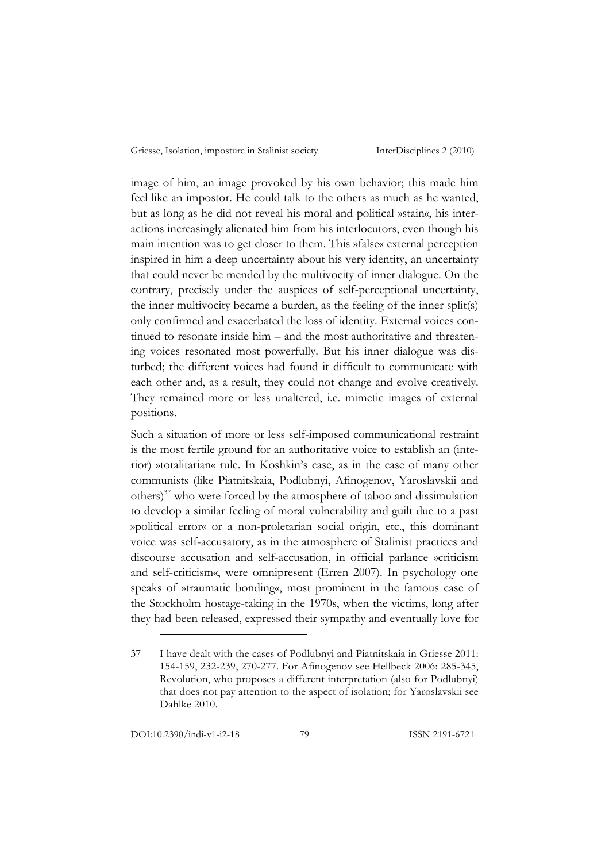image of him, an image provoked by his own behavior; this made him feel like an impostor. He could talk to the others as much as he wanted, but as long as he did not reveal his moral and political »stain«, his interactions increasingly alienated him from his interlocutors, even though his main intention was to get closer to them. This »false« external perception inspired in him a deep uncertainty about his very identity, an uncertainty that could never be mended by the multivocity of inner dialogue. On the contrary, precisely under the auspices of self-perceptional uncertainty, the inner multivocity became a burden, as the feeling of the inner split(s) only confirmed and exacerbated the loss of identity. External voices continued to resonate inside him – and the most authoritative and threatening voices resonated most powerfully. But his inner dialogue was disturbed; the different voices had found it difficult to communicate with each other and, as a result, they could not change and evolve creatively. They remained more or less unaltered, i.e. mimetic images of external positions.

Such a situation of more or less self-imposed communicational restraint is the most fertile ground for an authoritative voice to establish an (interior) »totalitarian« rule. In Koshkin's case, as in the case of many other communists (like Piatnitskaia, Podlubnyi, Afinogenov, Yaroslavskii and others) 37 who were forced by the atmosphere of taboo and dissimulation to develop a similar feeling of moral vulnerability and guilt due to a past »political error« or a non-proletarian social origin, etc., this dominant voice was self-accusatory, as in the atmosphere of Stalinist practices and discourse accusation and self-accusation, in official parlance »criticism and self-criticism«, were omnipresent (Erren 2007). In psychology one speaks of »traumatic bonding«, most prominent in the famous case of the Stockholm hostage-taking in the 1970s, when the victims, long after they had been released, expressed their sympathy and eventually love for

<sup>37</sup> I have dealt with the cases of Podlubnyi and Piatnitskaia in Griesse 2011: 154-159, 232-239, 270-277. For Afinogenov see Hellbeck 2006: 285-345, Revolution, who proposes a different interpretation (also for Podlubnyi) that does not pay attention to the aspect of isolation; for Yaroslavskii see Dahlke 2010.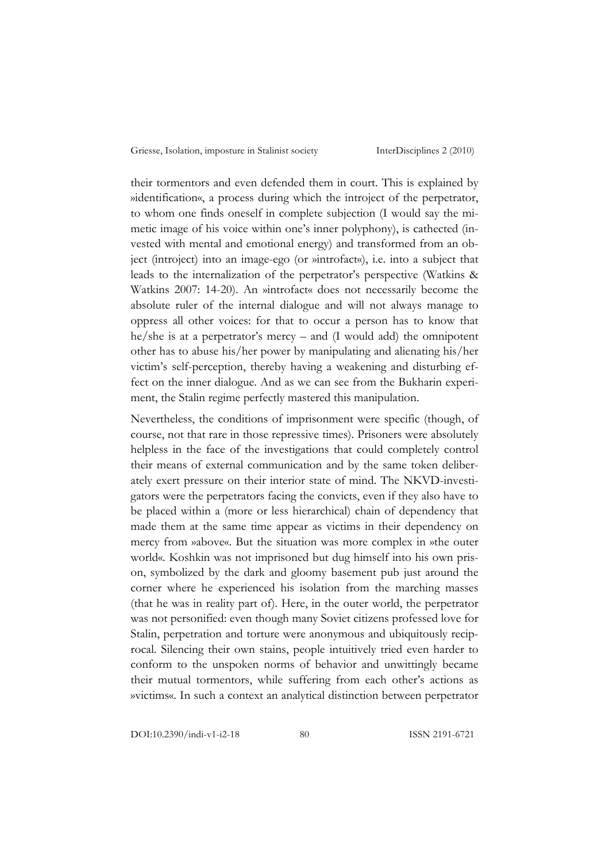their tormentors and even defended them in court. This is explained by »identification«, a process during which the introject of the perpetrator, to whom one finds oneself in complete subjection (I would say the mimetic image of his voice within one's inner polyphony), is cathected (invested with mental and emotional energy) and transformed from an object (introject) into an image-ego (or »introfact«), i.e. into a subject that leads to the internalization of the perpetrator's perspective (Watkins & Watkins 2007: 14-20). An »introfact« does not necessarily become the absolute ruler of the internal dialogue and will not always manage to oppress all other voices: for that to occur a person has to know that he/she is at a perpetrator's mercy – and (I would add) the omnipotent other has to abuse his/her power by manipulating and alienating his/her victim's self-perception, thereby having a weakening and disturbing effect on the inner dialogue. And as we can see from the Bukharin experiment, the Stalin regime perfectly mastered this manipulation.

Nevertheless, the conditions of imprisonment were specific (though, of course, not that rare in those repressive times). Prisoners were absolutely helpless in the face of the investigations that could completely control their means of external communication and by the same token deliberately exert pressure on their interior state of mind. The NKVD-investigators were the perpetrators facing the convicts, even if they also have to be placed within a (more or less hierarchical) chain of dependency that made them at the same time appear as victims in their dependency on mercy from »above«. But the situation was more complex in »the outer world«. Koshkin was not imprisoned but dug himself into his own prison, symbolized by the dark and gloomy basement pub just around the corner where he experienced his isolation from the marching masses (that he was in reality part of). Here, in the outer world, the perpetrator was not personified: even though many Soviet citizens professed love for Stalin, perpetration and torture were anonymous and ubiquitously reciprocal. Silencing their own stains, people intuitively tried even harder to conform to the unspoken norms of behavior and unwittingly became their mutual tormentors, while suffering from each other's actions as »victims«. In such a context an analytical distinction between perpetrator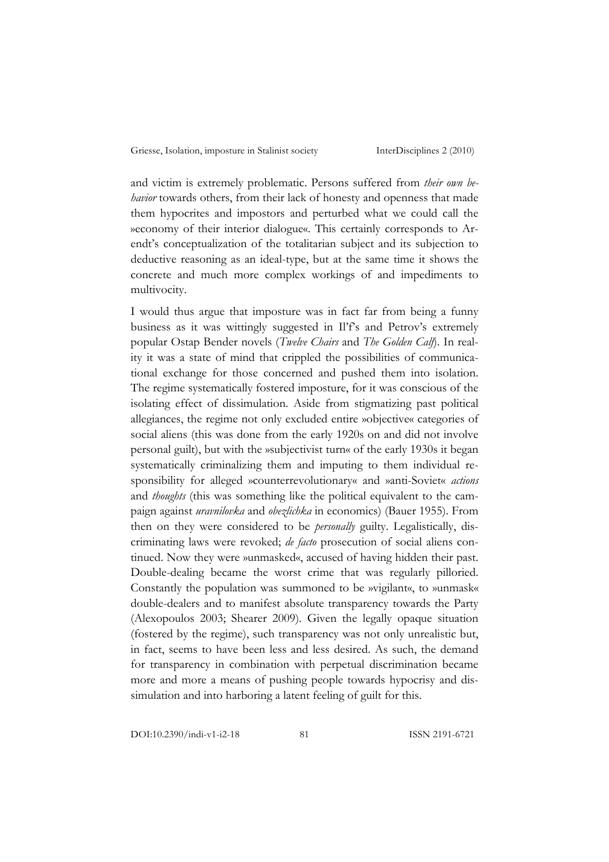and victim is extremely problematic. Persons suffered from *their own behavior* towards others, from their lack of honesty and openness that made them hypocrites and impostors and perturbed what we could call the »economy of their interior dialogue«. This certainly corresponds to Arendt's conceptualization of the totalitarian subject and its subjection to deductive reasoning as an ideal-type, but at the same time it shows the concrete and much more complex workings of and impediments to multivocity.

I would thus argue that imposture was in fact far from being a funny business as it was wittingly suggested in Il'f's and Petrov's extremely popular Ostap Bender novels (*Twelve Chairs* and *The Golden Calf*). In reality it was a state of mind that crippled the possibilities of communicational exchange for those concerned and pushed them into isolation. The regime systematically fostered imposture, for it was conscious of the isolating effect of dissimulation. Aside from stigmatizing past political allegiances, the regime not only excluded entire »objective« categories of social aliens (this was done from the early 1920s on and did not involve personal guilt), but with the »subjectivist turn« of the early 1930s it began systematically criminalizing them and imputing to them individual responsibility for alleged »counterrevolutionary« and »anti-Soviet« *actions* and *thoughts* (this was something like the political equivalent to the campaign against *uravnilovka* and *obezlichka* in economics) (Bauer 1955). From then on they were considered to be *personally* guilty. Legalistically, discriminating laws were revoked; *de facto* prosecution of social aliens continued. Now they were »unmasked«, accused of having hidden their past. Double-dealing became the worst crime that was regularly pilloried. Constantly the population was summoned to be »vigilant«, to »unmask« double-dealers and to manifest absolute transparency towards the Party (Alexopoulos 2003; Shearer 2009). Given the legally opaque situation (fostered by the regime), such transparency was not only unrealistic but, in fact, seems to have been less and less desired. As such, the demand for transparency in combination with perpetual discrimination became more and more a means of pushing people towards hypocrisy and dissimulation and into harboring a latent feeling of guilt for this.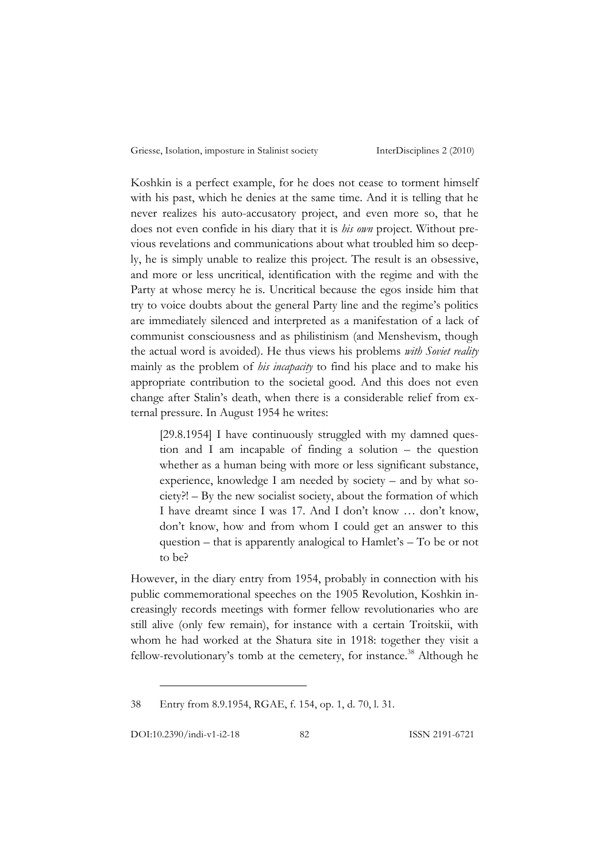Koshkin is a perfect example, for he does not cease to torment himself with his past, which he denies at the same time. And it is telling that he never realizes his auto-accusatory project, and even more so, that he does not even confide in his diary that it is *his own* project. Without previous revelations and communications about what troubled him so deeply, he is simply unable to realize this project. The result is an obsessive, and more or less uncritical, identification with the regime and with the Party at whose mercy he is. Uncritical because the egos inside him that try to voice doubts about the general Party line and the regime's politics are immediately silenced and interpreted as a manifestation of a lack of communist consciousness and as philistinism (and Menshevism, though the actual word is avoided). He thus views his problems *with Soviet reality* mainly as the problem of *his incapacity* to find his place and to make his appropriate contribution to the societal good. And this does not even change after Stalin's death, when there is a considerable relief from external pressure. In August 1954 he writes:

[29.8.1954] I have continuously struggled with my damned question and I am incapable of finding a solution – the question whether as a human being with more or less significant substance, experience, knowledge I am needed by society – and by what society?! – By the new socialist society, about the formation of which I have dreamt since I was 17. And I don't know … don't know, don't know, how and from whom I could get an answer to this question – that is apparently analogical to Hamlet's – To be or not to be?

However, in the diary entry from 1954, probably in connection with his public commemorational speeches on the 1905 Revolution, Koshkin increasingly records meetings with former fellow revolutionaries who are still alive (only few remain), for instance with a certain Troitskii, with whom he had worked at the Shatura site in 1918: together they visit a fellow-revolutionary's tomb at the cemetery, for instance.<sup>38</sup> Although he

38 Entry from 8.9.1954, RGAE, f. 154, op. 1, d. 70, l. 31.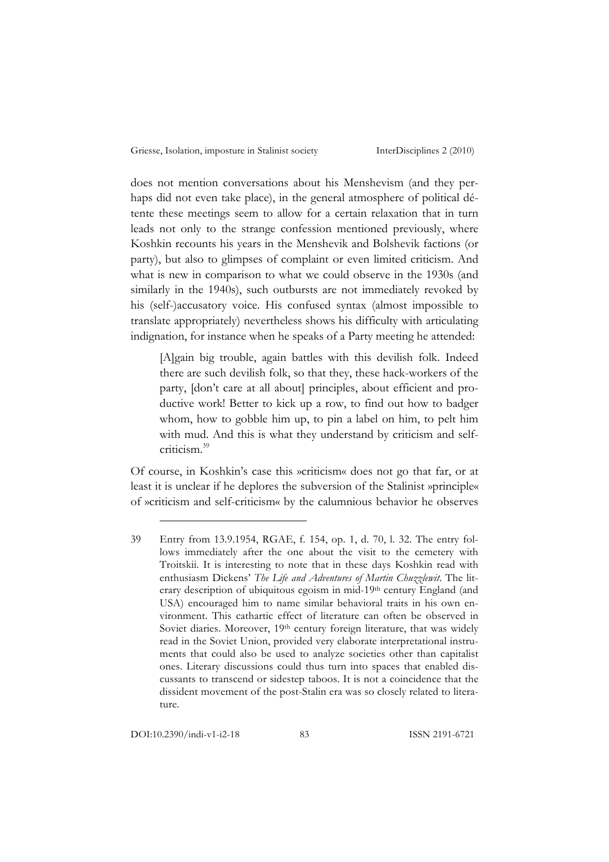does not mention conversations about his Menshevism (and they perhaps did not even take place), in the general atmosphere of political détente these meetings seem to allow for a certain relaxation that in turn leads not only to the strange confession mentioned previously, where Koshkin recounts his years in the Menshevik and Bolshevik factions (or party), but also to glimpses of complaint or even limited criticism. And what is new in comparison to what we could observe in the 1930s (and similarly in the 1940s), such outbursts are not immediately revoked by his (self-)accusatory voice. His confused syntax (almost impossible to translate appropriately) nevertheless shows his difficulty with articulating indignation, for instance when he speaks of a Party meeting he attended:

[A]gain big trouble, again battles with this devilish folk. Indeed there are such devilish folk, so that they, these hack-workers of the party, [don't care at all about] principles, about efficient and productive work! Better to kick up a row, to find out how to badger whom, how to gobble him up, to pin a label on him, to pelt him with mud. And this is what they understand by criticism and selfcriticism.39

Of course, in Koshkin's case this »criticism« does not go that far, or at least it is unclear if he deplores the subversion of the Stalinist »principle« of »criticism and self-criticism« by the calumnious behavior he observes

DOI:10.2390/indi-v1-i2-18 83 ISSN 2191-6721

<sup>39</sup> Entry from 13.9.1954, RGAE, f. 154, op. 1, d. 70, l. 32. The entry follows immediately after the one about the visit to the cemetery with Troitskii. It is interesting to note that in these days Koshkin read with enthusiasm Dickens' *The Life and Adventures of Martin Chuzzlewit*. The literary description of ubiquitous egoism in mid-19<sup>th</sup> century England (and USA) encouraged him to name similar behavioral traits in his own environment. This cathartic effect of literature can often be observed in Soviet diaries. Moreover, 19<sup>th</sup> century foreign literature, that was widely read in the Soviet Union, provided very elaborate interpretational instruments that could also be used to analyze societies other than capitalist ones. Literary discussions could thus turn into spaces that enabled discussants to transcend or sidestep taboos. It is not a coincidence that the dissident movement of the post-Stalin era was so closely related to literature.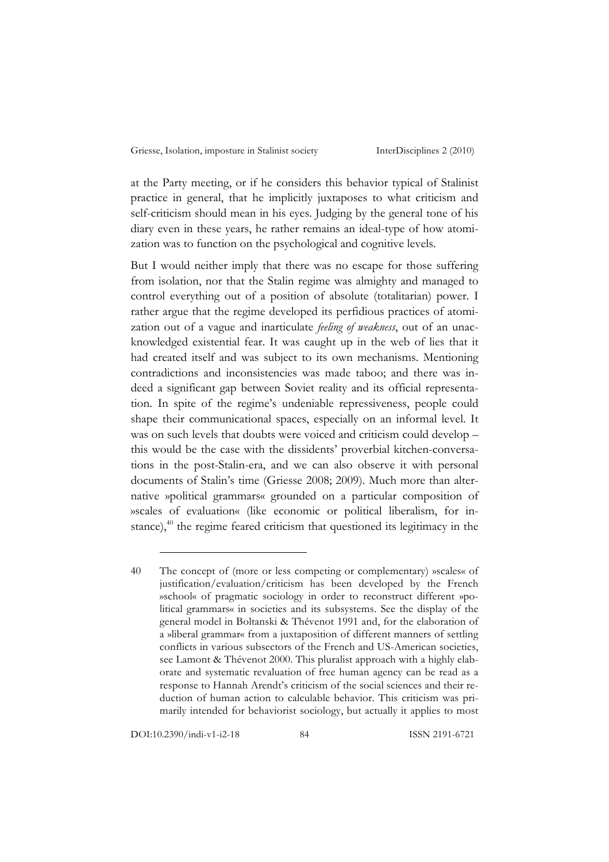at the Party meeting, or if he considers this behavior typical of Stalinist practice in general, that he implicitly juxtaposes to what criticism and self-criticism should mean in his eyes. Judging by the general tone of his diary even in these years, he rather remains an ideal-type of how atomization was to function on the psychological and cognitive levels.

But I would neither imply that there was no escape for those suffering from isolation, nor that the Stalin regime was almighty and managed to control everything out of a position of absolute (totalitarian) power. I rather argue that the regime developed its perfidious practices of atomization out of a vague and inarticulate *feeling of weakness*, out of an unacknowledged existential fear. It was caught up in the web of lies that it had created itself and was subject to its own mechanisms. Mentioning contradictions and inconsistencies was made taboo; and there was indeed a significant gap between Soviet reality and its official representation. In spite of the regime's undeniable repressiveness, people could shape their communicational spaces, especially on an informal level. It was on such levels that doubts were voiced and criticism could develop – this would be the case with the dissidents' proverbial kitchen-conversations in the post-Stalin-era, and we can also observe it with personal documents of Stalin's time (Griesse 2008; 2009). Much more than alternative »political grammars« grounded on a particular composition of »scales of evaluation« (like economic or political liberalism, for instance), $^{40}$  the regime feared criticism that questioned its legitimacy in the

DOI:10.2390/indi-v1-i2-18 84 ISSN 2191-6721

<sup>40</sup> The concept of (more or less competing or complementary) »scales« of justification/evaluation/criticism has been developed by the French »school« of pragmatic sociology in order to reconstruct different »political grammars« in societies and its subsystems. See the display of the general model in Boltanski & Thévenot 1991 and, for the elaboration of a »liberal grammar« from a juxtaposition of different manners of settling conflicts in various subsectors of the French and US-American societies, see Lamont & Thévenot 2000. This pluralist approach with a highly elaborate and systematic revaluation of free human agency can be read as a response to Hannah Arendt's criticism of the social sciences and their reduction of human action to calculable behavior. This criticism was primarily intended for behaviorist sociology, but actually it applies to most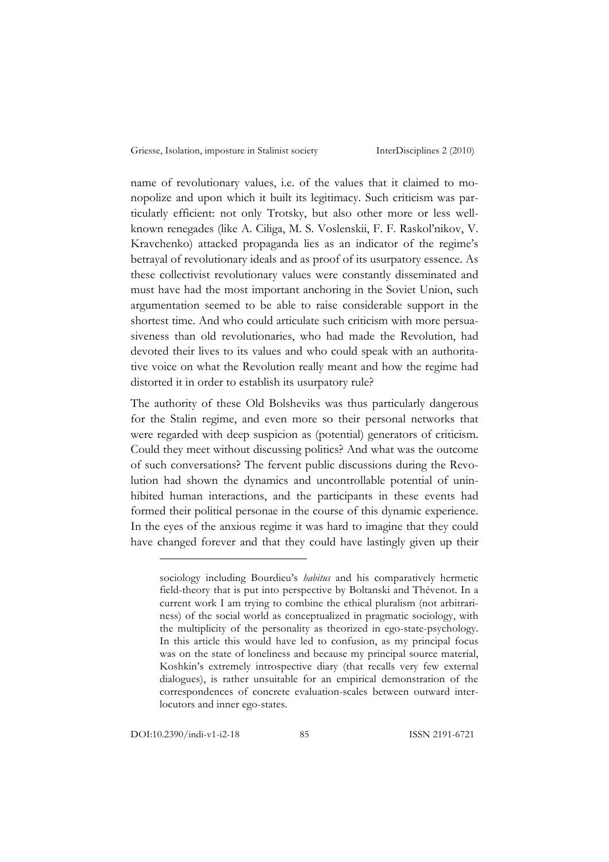name of revolutionary values, i.e. of the values that it claimed to monopolize and upon which it built its legitimacy. Such criticism was particularly efficient: not only Trotsky, but also other more or less wellknown renegades (like A. Ciliga, M. S. Voslenskii, F. F. Raskol'nikov, V. Kravchenko) attacked propaganda lies as an indicator of the regime's betrayal of revolutionary ideals and as proof of its usurpatory essence. As these collectivist revolutionary values were constantly disseminated and must have had the most important anchoring in the Soviet Union, such argumentation seemed to be able to raise considerable support in the shortest time. And who could articulate such criticism with more persuasiveness than old revolutionaries, who had made the Revolution, had devoted their lives to its values and who could speak with an authoritative voice on what the Revolution really meant and how the regime had distorted it in order to establish its usurpatory rule?

The authority of these Old Bolsheviks was thus particularly dangerous for the Stalin regime, and even more so their personal networks that were regarded with deep suspicion as (potential) generators of criticism. Could they meet without discussing politics? And what was the outcome of such conversations? The fervent public discussions during the Revolution had shown the dynamics and uncontrollable potential of uninhibited human interactions, and the participants in these events had formed their political personae in the course of this dynamic experience. In the eyes of the anxious regime it was hard to imagine that they could have changed forever and that they could have lastingly given up their

sociology including Bourdieu's *habitus* and his comparatively hermetic field-theory that is put into perspective by Boltanski and Thévenot. In a current work I am trying to combine the ethical pluralism (not arbitrariness) of the social world as conceptualized in pragmatic sociology, with the multiplicity of the personality as theorized in ego-state-psychology. In this article this would have led to confusion, as my principal focus was on the state of loneliness and because my principal source material, Koshkin's extremely introspective diary (that recalls very few external dialogues), is rather unsuitable for an empirical demonstration of the correspondences of concrete evaluation-scales between outward interlocutors and inner ego-states.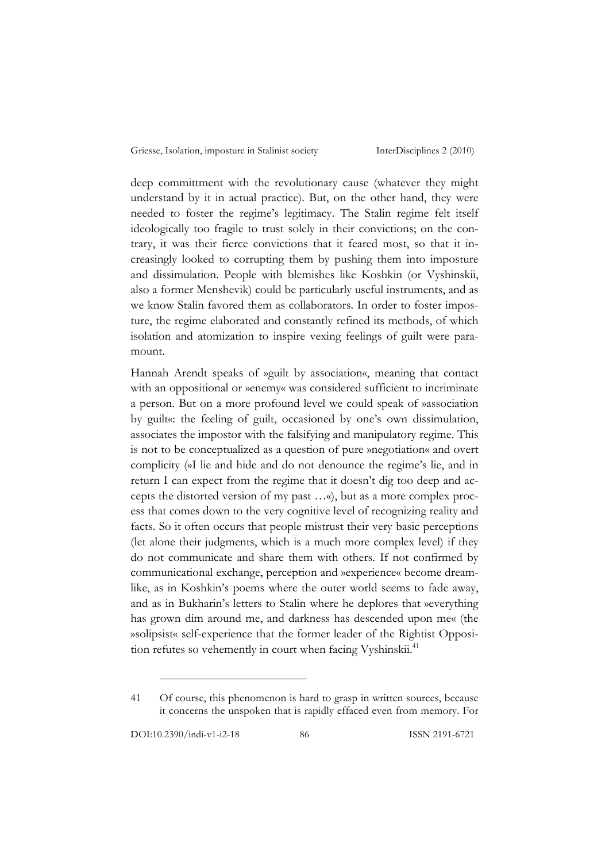deep committment with the revolutionary cause (whatever they might understand by it in actual practice). But, on the other hand, they were needed to foster the regime's legitimacy. The Stalin regime felt itself ideologically too fragile to trust solely in their convictions; on the contrary, it was their fierce convictions that it feared most, so that it increasingly looked to corrupting them by pushing them into imposture and dissimulation. People with blemishes like Koshkin (or Vyshinskii, also a former Menshevik) could be particularly useful instruments, and as we know Stalin favored them as collaborators. In order to foster imposture, the regime elaborated and constantly refined its methods, of which isolation and atomization to inspire vexing feelings of guilt were paramount.

Hannah Arendt speaks of »guilt by association«, meaning that contact with an oppositional or »enemy« was considered sufficient to incriminate a person. But on a more profound level we could speak of »association by guilt«: the feeling of guilt, occasioned by one's own dissimulation, associates the impostor with the falsifying and manipulatory regime. This is not to be conceptualized as a question of pure »negotiation« and overt complicity (»I lie and hide and do not denounce the regime's lie, and in return I can expect from the regime that it doesn't dig too deep and accepts the distorted version of my past …«), but as a more complex process that comes down to the very cognitive level of recognizing reality and facts. So it often occurs that people mistrust their very basic perceptions (let alone their judgments, which is a much more complex level) if they do not communicate and share them with others. If not confirmed by communicational exchange, perception and »experience« become dreamlike, as in Koshkin's poems where the outer world seems to fade away, and as in Bukharin's letters to Stalin where he deplores that »everything has grown dim around me, and darkness has descended upon me« (the »solipsist« self-experience that the former leader of the Rightist Opposition refutes so vehemently in court when facing Vyshinskii.<sup>41</sup>

<sup>41</sup> Of course, this phenomenon is hard to grasp in written sources, because it concerns the unspoken that is rapidly effaced even from memory. For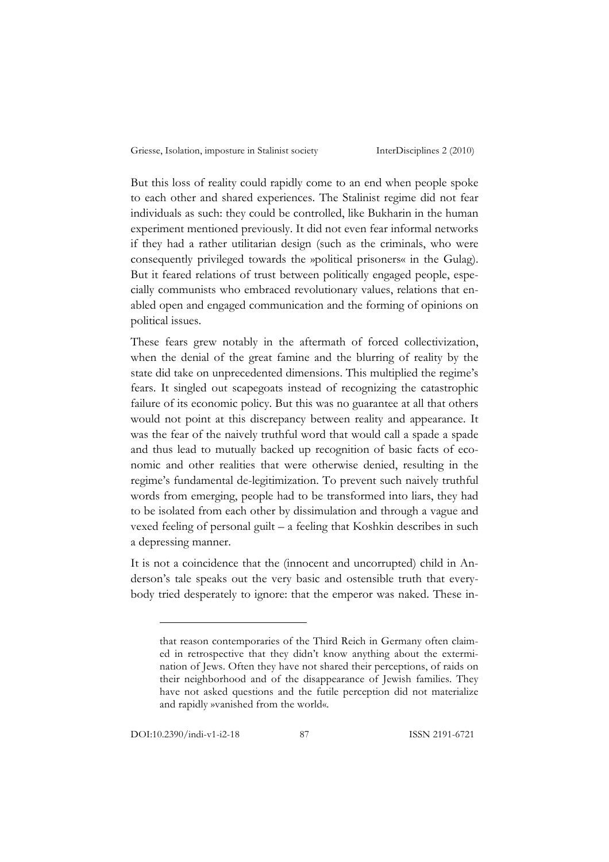But this loss of reality could rapidly come to an end when people spoke to each other and shared experiences. The Stalinist regime did not fear individuals as such: they could be controlled, like Bukharin in the human experiment mentioned previously. It did not even fear informal networks if they had a rather utilitarian design (such as the criminals, who were consequently privileged towards the »political prisoners« in the Gulag). But it feared relations of trust between politically engaged people, especially communists who embraced revolutionary values, relations that enabled open and engaged communication and the forming of opinions on political issues.

These fears grew notably in the aftermath of forced collectivization, when the denial of the great famine and the blurring of reality by the state did take on unprecedented dimensions. This multiplied the regime's fears. It singled out scapegoats instead of recognizing the catastrophic failure of its economic policy. But this was no guarantee at all that others would not point at this discrepancy between reality and appearance. It was the fear of the naively truthful word that would call a spade a spade and thus lead to mutually backed up recognition of basic facts of economic and other realities that were otherwise denied, resulting in the regime's fundamental de-legitimization. To prevent such naively truthful words from emerging, people had to be transformed into liars, they had to be isolated from each other by dissimulation and through a vague and vexed feeling of personal guilt – a feeling that Koshkin describes in such a depressing manner.

It is not a coincidence that the (innocent and uncorrupted) child in Anderson's tale speaks out the very basic and ostensible truth that everybody tried desperately to ignore: that the emperor was naked. These in-

DOI:10.2390/indi-v1-i2-18 87 ISSN 2191-6721

 $\overline{a}$ 

that reason contemporaries of the Third Reich in Germany often claimed in retrospective that they didn't know anything about the extermination of Jews. Often they have not shared their perceptions, of raids on their neighborhood and of the disappearance of Jewish families. They have not asked questions and the futile perception did not materialize and rapidly »vanished from the world«.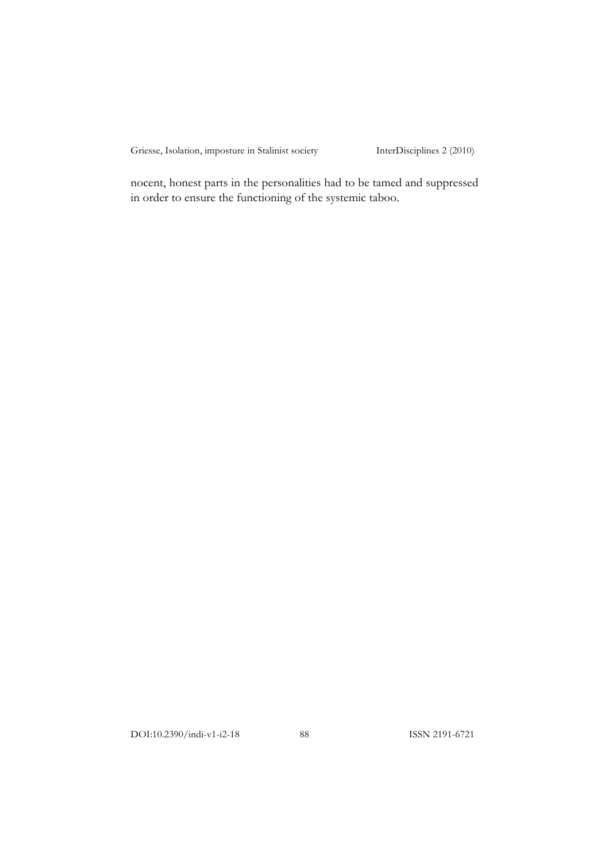nocent, honest parts in the personalities had to be tamed and suppressed in order to ensure the functioning of the systemic taboo.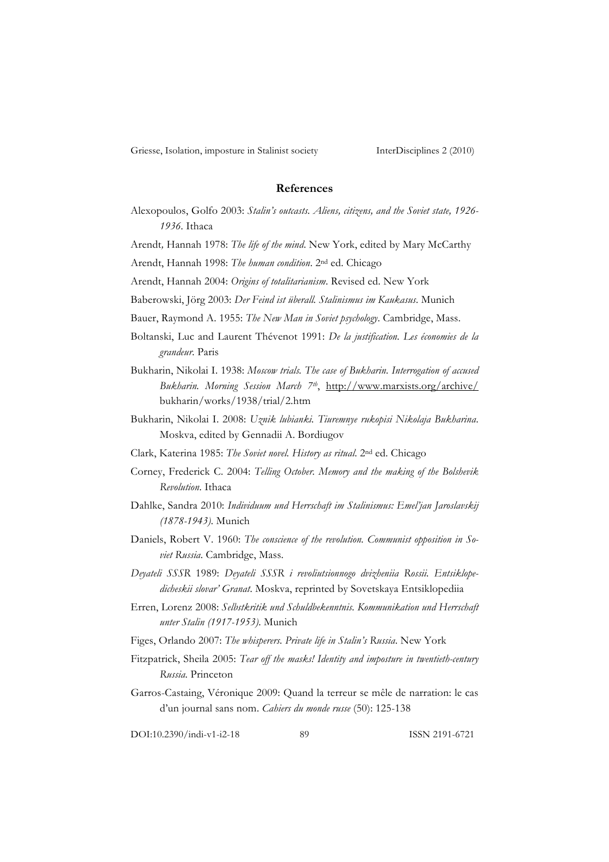## **References**

- Alexopoulos, Golfo 2003: *Stalin's outcasts. Aliens, citizens, and the Soviet state, 1926- 1936*. Ithaca
- Arendt*,* Hannah 1978: *The life of the mind*. New York, edited by Mary McCarthy
- Arendt, Hannah 1998: *The human condition*. 2nd ed. Chicago
- Arendt, Hannah 2004: *Origins of totalitarianism*. Revised ed. New York
- Baberowski, Jörg 2003: *Der Feind ist überall. Stalinismus im Kaukasus*. Munich
- Bauer, Raymond A. 1955: *The New Man in Soviet psychology*. Cambridge, Mass.
- Boltanski, Luc and Laurent Thévenot 1991: *De la justification. Les économies de la grandeur*. Paris
- Bukharin, Nikolai I. 1938: *Moscow trials. The case of Bukharin. Interrogation of accused Bukharin. Morning Session March 7th*, http://www.marxists.org/archive/ bukharin/works/1938/trial/2.htm
- Bukharin, Nikolai I. 2008: *Uznik lubianki. Tiuremnye rukopisi Nikolaja Bukharina*. Moskva, edited by Gennadii A. Bordiugov
- Clark, Katerina 1985: *The Soviet novel. History as ritual*. 2nd ed. Chicago
- Corney, Frederick C. 2004: *Telling October. Memory and the making of the Bolshevik Revolution*. Ithaca
- Dahlke, Sandra 2010: *Individuum und Herrschaft im Stalinismus: Emel'jan Jaroslavskij (1878-1943)*. Munich
- Daniels, Robert V. 1960: *The conscience of the revolution. Communist opposition in Soviet Russia*. Cambridge, Mass.
- *Deyateli SSSR* 1989: *Deyateli SSSR i revoliutsionnogo dvizheniia Rossii. Entsiklopedicheskii slovar' Granat*. Moskva, reprinted by Sovetskaya Entsiklopediia
- Erren, Lorenz 2008: *Selbstkritik und Schuldbekenntnis. Kommunikation und Herrschaft unter Stalin (1917-1953)*. Munich
- Figes, Orlando 2007: *The whisperers. Private life in Stalin's Russia*. New York
- Fitzpatrick, Sheila 2005: *Tear off the masks! Identity and imposture in twentieth-century Russia*. Princeton
- Garros-Castaing, Véronique 2009: Quand la terreur se mêle de narration: le cas d'un journal sans nom. *Cahiers du monde russe* (50): 125-138

DOI:10.2390/indi-v1-i2-18 89 ISSN 2191-6721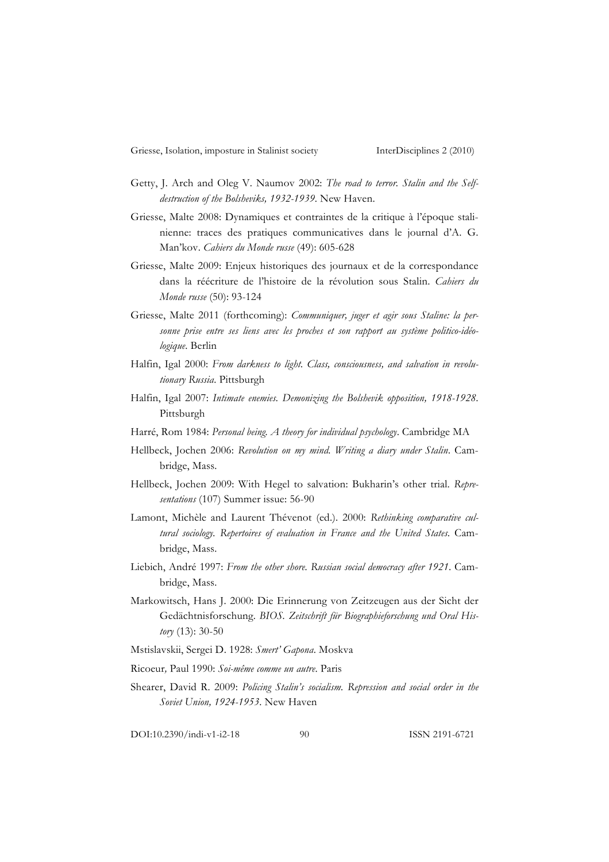- Getty, J. Arch and Oleg V. Naumov 2002: *The road to terror. Stalin and the Selfdestruction of the Bolsheviks, 1932-1939*. New Haven.
- Griesse, Malte 2008: Dynamiques et contraintes de la critique à l'époque stalinienne: traces des pratiques communicatives dans le journal d'A. G. Man'kov. *Cahiers du Monde russe* (49): 605-628
- Griesse, Malte 2009: Enjeux historiques des journaux et de la correspondance dans la réécriture de l'histoire de la révolution sous Stalin. *Cahiers du Monde russe* (50): 93-124
- Griesse, Malte 2011 (forthcoming): *Communiquer, juger et agir sous Staline: la personne prise entre ses liens avec les proches et son rapport au système politico-idéologique*. Berlin
- Halfin, Igal 2000: *From darkness to light. Class, consciousness, and salvation in revolutionary Russia*. Pittsburgh
- Halfin, Igal 2007: *Intimate enemies. Demonizing the Bolshevik opposition, 1918-1928*. Pittsburgh
- Harré, Rom 1984: *Personal being. A theory for individual psychology*. Cambridge MA
- Hellbeck, Jochen 2006: *Revolution on my mind. Writing a diary under Stalin*. Cambridge, Mass.
- Hellbeck, Jochen 2009: With Hegel to salvation: Bukharin's other trial. *Representations* (107) Summer issue: 56-90
- Lamont, Michèle and Laurent Thévenot (ed.). 2000: *Rethinking comparative cultural sociology. Repertoires of evaluation in France and the United States*. Cambridge, Mass.
- Liebich, André 1997: *From the other shore. Russian social democracy after 1921*. Cambridge, Mass.
- Markowitsch, Hans J. 2000: Die Erinnerung von Zeitzeugen aus der Sicht der Gedächtnisforschung. *BIOS. Zeitschrift für Biographieforschung und Oral History* (13): 30-50
- Mstislavskii, Sergei D. 1928: *Smert' Gapona*. Moskva
- Ricoeur*,* Paul 1990: *Soi-même comme un autre*. Paris
- Shearer, David R. 2009: *Policing Stalin's socialism. Repression and social order in the Soviet Union, 1924-1953*. New Haven

DOI:10.2390/indi-v1-i2-18 90 ISSN 2191-6721